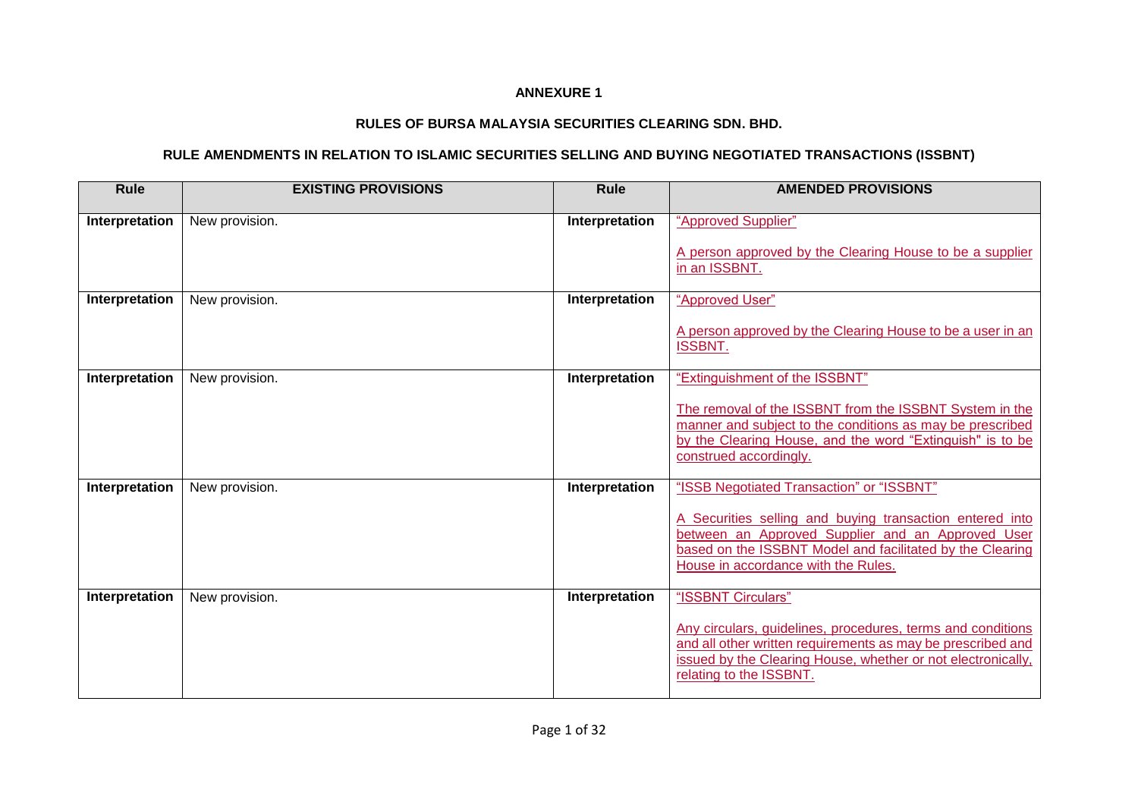## **ANNEXURE 1**

## **RULES OF BURSA MALAYSIA SECURITIES CLEARING SDN. BHD.**

## **RULE AMENDMENTS IN RELATION TO ISLAMIC SECURITIES SELLING AND BUYING NEGOTIATED TRANSACTIONS (ISSBNT)**

| <b>Rule</b>    | <b>EXISTING PROVISIONS</b> | <b>Rule</b>    | <b>AMENDED PROVISIONS</b>                                                                                                                                                                                                                                      |
|----------------|----------------------------|----------------|----------------------------------------------------------------------------------------------------------------------------------------------------------------------------------------------------------------------------------------------------------------|
| Interpretation | New provision.             | Interpretation | "Approved Supplier"<br>A person approved by the Clearing House to be a supplier<br>in an ISSBNT.                                                                                                                                                               |
| Interpretation | New provision.             | Interpretation | "Approved User"<br>A person approved by the Clearing House to be a user in an<br><b>ISSBNT.</b>                                                                                                                                                                |
| Interpretation | New provision.             | Interpretation | "Extinguishment of the ISSBNT"<br>The removal of the ISSBNT from the ISSBNT System in the<br>manner and subject to the conditions as may be prescribed<br>by the Clearing House, and the word "Extinguish" is to be<br>construed accordingly.                  |
| Interpretation | New provision.             | Interpretation | "ISSB Negotiated Transaction" or "ISSBNT"<br>A Securities selling and buying transaction entered into<br>between an Approved Supplier and an Approved User<br>based on the ISSBNT Model and facilitated by the Clearing<br>House in accordance with the Rules. |
| Interpretation | New provision.             | Interpretation | "ISSBNT Circulars"<br>Any circulars, guidelines, procedures, terms and conditions<br>and all other written requirements as may be prescribed and<br>issued by the Clearing House, whether or not electronically,<br>relating to the ISSBNT.                    |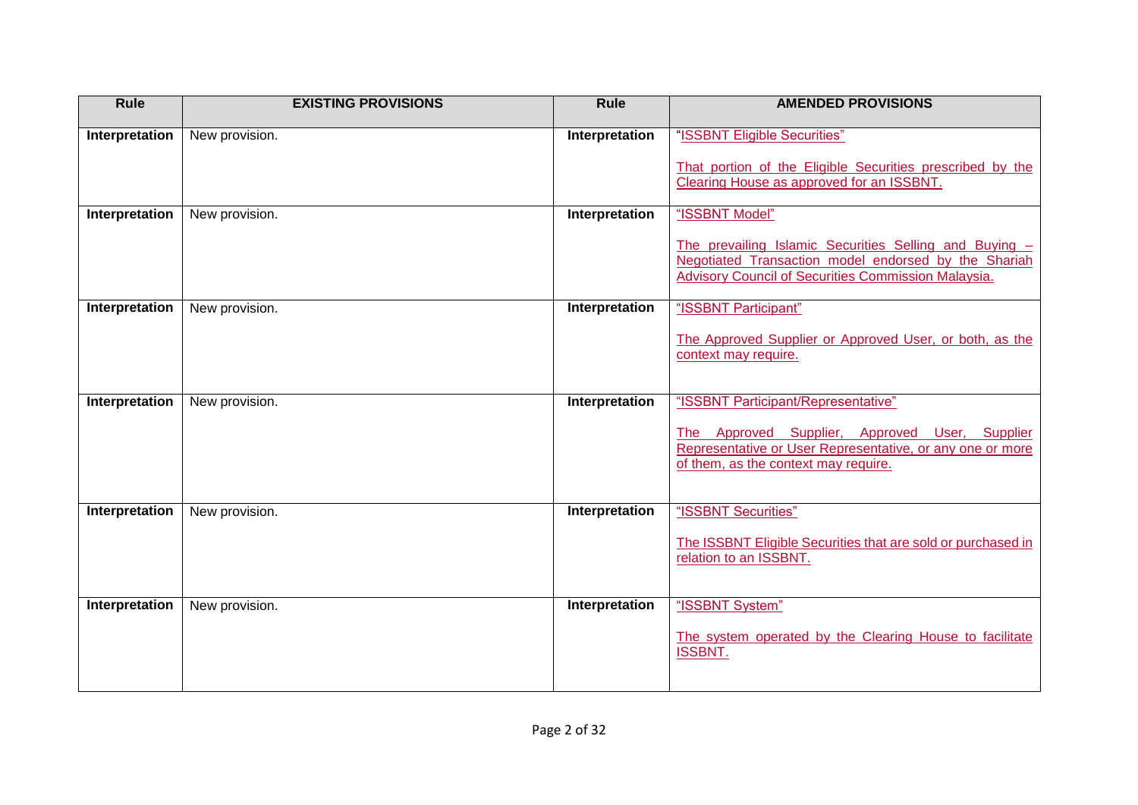| Rule           | <b>EXISTING PROVISIONS</b> | Rule           | <b>AMENDED PROVISIONS</b>                                                                                      |
|----------------|----------------------------|----------------|----------------------------------------------------------------------------------------------------------------|
| Interpretation | New provision.             | Interpretation | "ISSBNT Eligible Securities"                                                                                   |
|                |                            |                | That portion of the Eligible Securities prescribed by the                                                      |
|                |                            |                | Clearing House as approved for an ISSBNT.                                                                      |
| Interpretation | New provision.             | Interpretation | "ISSBNT Model"                                                                                                 |
|                |                            |                | The prevailing Islamic Securities Selling and Buying -<br>Negotiated Transaction model endorsed by the Shariah |
|                |                            |                | <b>Advisory Council of Securities Commission Malaysia.</b>                                                     |
| Interpretation | New provision.             | Interpretation | "ISSBNT Participant"                                                                                           |
|                |                            |                | The Approved Supplier or Approved User, or both, as the                                                        |
|                |                            |                | context may require.                                                                                           |
|                |                            |                |                                                                                                                |
| Interpretation | New provision.             | Interpretation | "ISSBNT Participant/Representative"                                                                            |
|                |                            |                | The Approved Supplier, Approved User, Supplier<br>Representative or User Representative, or any one or more    |
|                |                            |                | of them, as the context may require.                                                                           |
|                |                            |                |                                                                                                                |
| Interpretation | New provision.             | Interpretation | "ISSBNT Securities"                                                                                            |
|                |                            |                | The ISSBNT Eligible Securities that are sold or purchased in<br>relation to an ISSBNT.                         |
|                |                            |                |                                                                                                                |
| Interpretation | New provision.             | Interpretation | "ISSBNT System"                                                                                                |
|                |                            |                | The system operated by the Clearing House to facilitate                                                        |
|                |                            |                | <b>ISSBNT.</b>                                                                                                 |
|                |                            |                |                                                                                                                |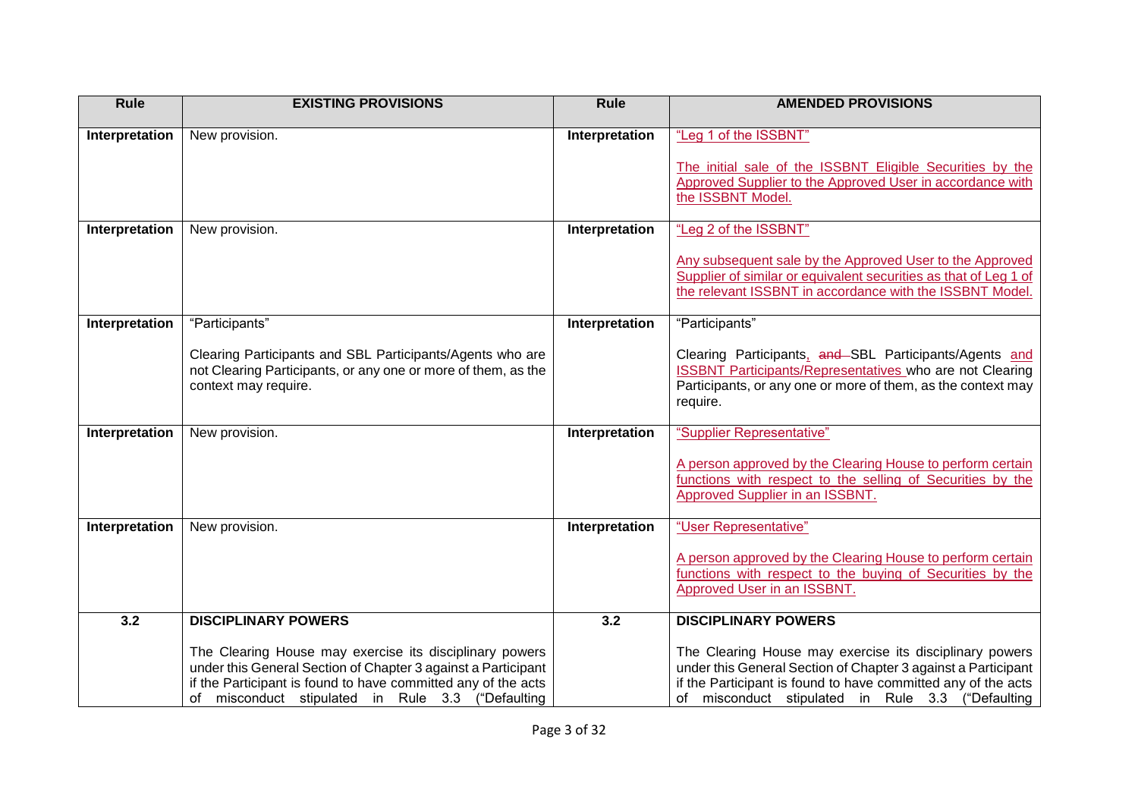| <b>Rule</b>    | <b>EXISTING PROVISIONS</b>                                                                                                                                                                                                                     | <b>Rule</b>    | <b>AMENDED PROVISIONS</b>                                                                                                                                                                                                                      |
|----------------|------------------------------------------------------------------------------------------------------------------------------------------------------------------------------------------------------------------------------------------------|----------------|------------------------------------------------------------------------------------------------------------------------------------------------------------------------------------------------------------------------------------------------|
| Interpretation | New provision.                                                                                                                                                                                                                                 | Interpretation | "Leg 1 of the ISSBNT"                                                                                                                                                                                                                          |
|                |                                                                                                                                                                                                                                                |                | The initial sale of the ISSBNT Eligible Securities by the<br>Approved Supplier to the Approved User in accordance with<br>the ISSBNT Model.                                                                                                    |
| Interpretation | New provision.                                                                                                                                                                                                                                 | Interpretation | "Leg 2 of the ISSBNT"                                                                                                                                                                                                                          |
|                |                                                                                                                                                                                                                                                |                | Any subsequent sale by the Approved User to the Approved<br>Supplier of similar or equivalent securities as that of Leg 1 of<br>the relevant ISSBNT in accordance with the ISSBNT Model.                                                       |
| Interpretation | "Participants"                                                                                                                                                                                                                                 | Interpretation | "Participants"                                                                                                                                                                                                                                 |
|                | Clearing Participants and SBL Participants/Agents who are<br>not Clearing Participants, or any one or more of them, as the<br>context may require.                                                                                             |                | Clearing Participants, and SBL Participants/Agents and<br><b>ISSBNT Participants/Representatives who are not Clearing</b><br>Participants, or any one or more of them, as the context may<br>require.                                          |
| Interpretation | New provision.                                                                                                                                                                                                                                 | Interpretation | "Supplier Representative"                                                                                                                                                                                                                      |
|                |                                                                                                                                                                                                                                                |                | A person approved by the Clearing House to perform certain<br>functions with respect to the selling of Securities by the<br>Approved Supplier in an ISSBNT.                                                                                    |
| Interpretation | New provision.                                                                                                                                                                                                                                 | Interpretation | "User Representative"                                                                                                                                                                                                                          |
|                |                                                                                                                                                                                                                                                |                | A person approved by the Clearing House to perform certain<br>functions with respect to the buying of Securities by the<br>Approved User in an ISSBNT.                                                                                         |
| 3.2            | <b>DISCIPLINARY POWERS</b>                                                                                                                                                                                                                     | 3.2            | <b>DISCIPLINARY POWERS</b>                                                                                                                                                                                                                     |
|                | The Clearing House may exercise its disciplinary powers<br>under this General Section of Chapter 3 against a Participant<br>if the Participant is found to have committed any of the acts<br>of misconduct stipulated in Rule 3.3 ("Defaulting |                | The Clearing House may exercise its disciplinary powers<br>under this General Section of Chapter 3 against a Participant<br>if the Participant is found to have committed any of the acts<br>of misconduct stipulated in Rule 3.3 ("Defaulting |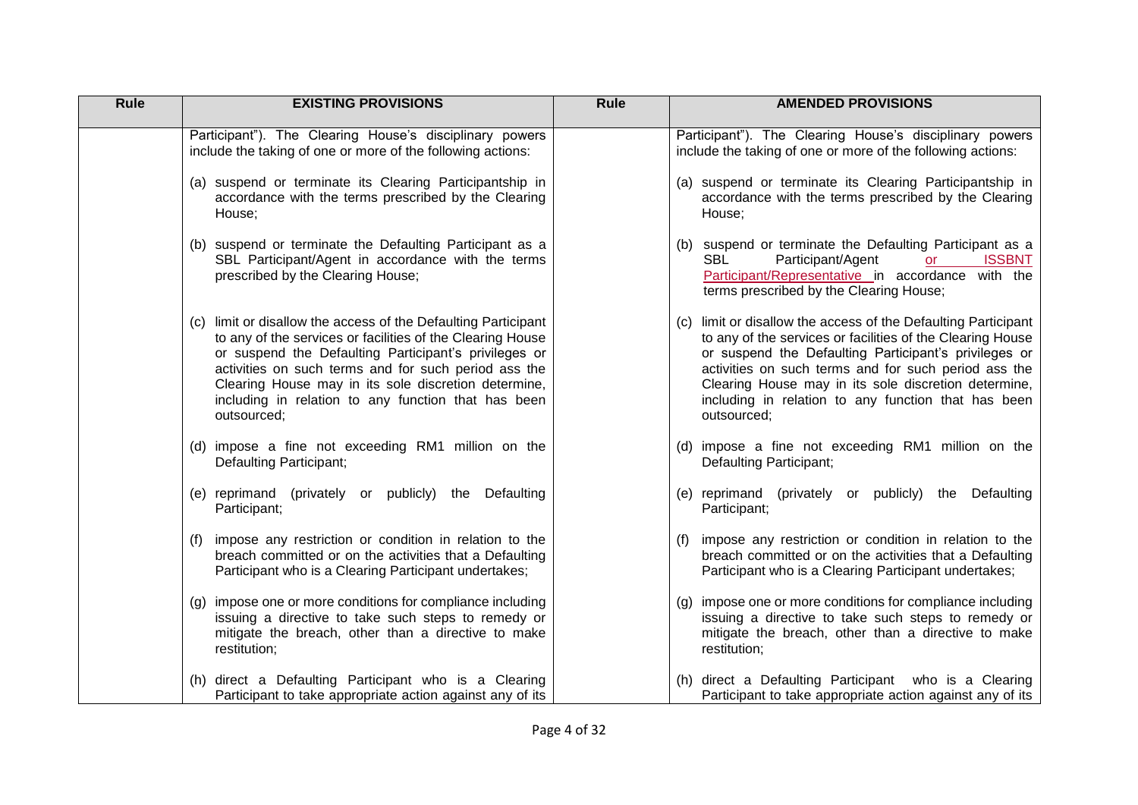| Rule | <b>EXISTING PROVISIONS</b>                                                                                                                                                                                                                                                                                                                                                  | <b>Rule</b> | <b>AMENDED PROVISIONS</b>                                                                                                                                                                                                                                                                                                                                                   |
|------|-----------------------------------------------------------------------------------------------------------------------------------------------------------------------------------------------------------------------------------------------------------------------------------------------------------------------------------------------------------------------------|-------------|-----------------------------------------------------------------------------------------------------------------------------------------------------------------------------------------------------------------------------------------------------------------------------------------------------------------------------------------------------------------------------|
|      | Participant"). The Clearing House's disciplinary powers<br>include the taking of one or more of the following actions:                                                                                                                                                                                                                                                      |             | Participant"). The Clearing House's disciplinary powers<br>include the taking of one or more of the following actions:                                                                                                                                                                                                                                                      |
|      | (a) suspend or terminate its Clearing Participantship in<br>accordance with the terms prescribed by the Clearing<br>House;                                                                                                                                                                                                                                                  |             | (a) suspend or terminate its Clearing Participantship in<br>accordance with the terms prescribed by the Clearing<br>House;                                                                                                                                                                                                                                                  |
|      | (b) suspend or terminate the Defaulting Participant as a<br>SBL Participant/Agent in accordance with the terms<br>prescribed by the Clearing House;                                                                                                                                                                                                                         |             | (b) suspend or terminate the Defaulting Participant as a<br>Participant/Agent<br><b>SBL</b><br><b>ISSBNT</b><br>or<br>Participant/Representative in accordance with the<br>terms prescribed by the Clearing House;                                                                                                                                                          |
|      | (c) limit or disallow the access of the Defaulting Participant<br>to any of the services or facilities of the Clearing House<br>or suspend the Defaulting Participant's privileges or<br>activities on such terms and for such period ass the<br>Clearing House may in its sole discretion determine,<br>including in relation to any function that has been<br>outsourced; |             | (c) limit or disallow the access of the Defaulting Participant<br>to any of the services or facilities of the Clearing House<br>or suspend the Defaulting Participant's privileges or<br>activities on such terms and for such period ass the<br>Clearing House may in its sole discretion determine,<br>including in relation to any function that has been<br>outsourced; |
|      | (d) impose a fine not exceeding RM1 million on the<br>Defaulting Participant;                                                                                                                                                                                                                                                                                               |             | (d) impose a fine not exceeding RM1 million on the<br>Defaulting Participant;                                                                                                                                                                                                                                                                                               |
|      | (e) reprimand (privately or publicly) the Defaulting<br>Participant;                                                                                                                                                                                                                                                                                                        |             | (e) reprimand (privately or publicly) the Defaulting<br>Participant;                                                                                                                                                                                                                                                                                                        |
|      | impose any restriction or condition in relation to the<br>(1)<br>breach committed or on the activities that a Defaulting<br>Participant who is a Clearing Participant undertakes;                                                                                                                                                                                           |             | (f) impose any restriction or condition in relation to the<br>breach committed or on the activities that a Defaulting<br>Participant who is a Clearing Participant undertakes;                                                                                                                                                                                              |
|      | impose one or more conditions for compliance including<br>(g)<br>issuing a directive to take such steps to remedy or<br>mitigate the breach, other than a directive to make<br>restitution;                                                                                                                                                                                 |             | (g) impose one or more conditions for compliance including<br>issuing a directive to take such steps to remedy or<br>mitigate the breach, other than a directive to make<br>restitution;                                                                                                                                                                                    |
|      | (h) direct a Defaulting Participant who is a Clearing<br>Participant to take appropriate action against any of its                                                                                                                                                                                                                                                          |             | (h) direct a Defaulting Participant who is a Clearing<br>Participant to take appropriate action against any of its                                                                                                                                                                                                                                                          |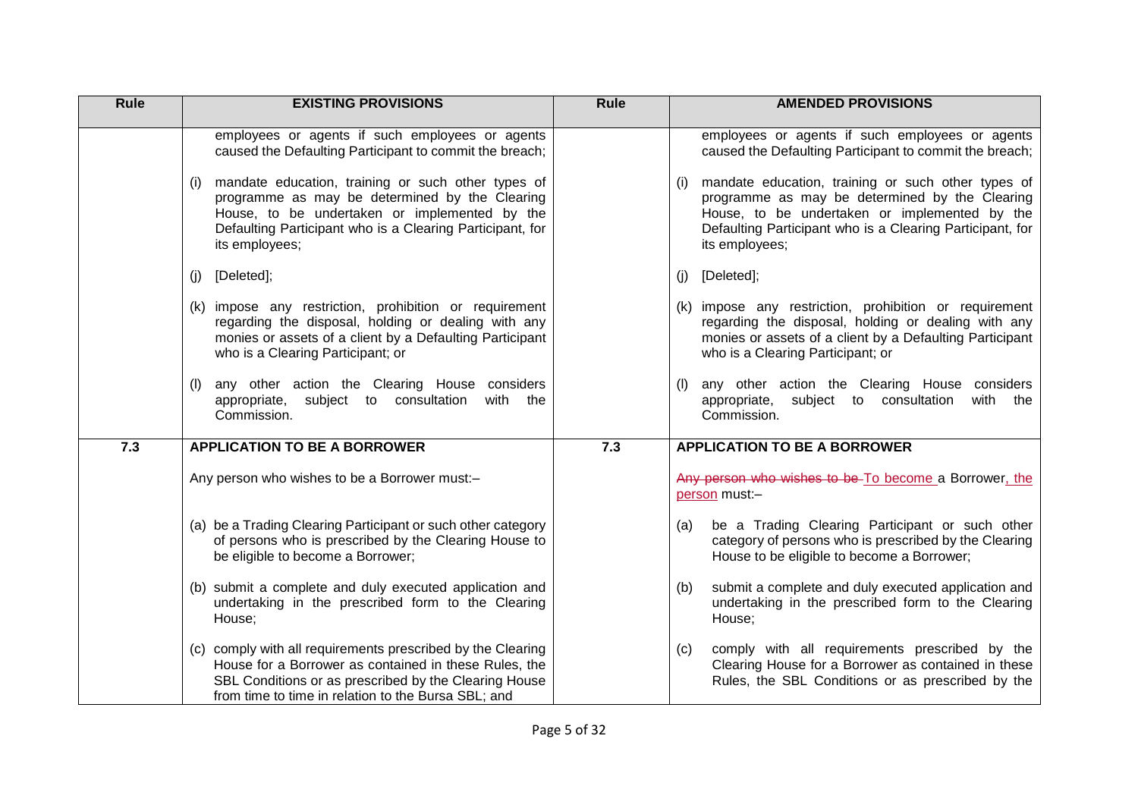| Rule | <b>EXISTING PROVISIONS</b>                                                                                                                                                                                                                                                                                                                                | Rule | <b>AMENDED PROVISIONS</b>                                                                                                                                                                                                                                                                                                                          |
|------|-----------------------------------------------------------------------------------------------------------------------------------------------------------------------------------------------------------------------------------------------------------------------------------------------------------------------------------------------------------|------|----------------------------------------------------------------------------------------------------------------------------------------------------------------------------------------------------------------------------------------------------------------------------------------------------------------------------------------------------|
|      | employees or agents if such employees or agents<br>caused the Defaulting Participant to commit the breach;<br>mandate education, training or such other types of<br>(i)<br>programme as may be determined by the Clearing<br>House, to be undertaken or implemented by the<br>Defaulting Participant who is a Clearing Participant, for<br>its employees; |      | employees or agents if such employees or agents<br>caused the Defaulting Participant to commit the breach;<br>mandate education, training or such other types of<br>programme as may be determined by the Clearing<br>House, to be undertaken or implemented by the<br>Defaulting Participant who is a Clearing Participant, for<br>its employees; |
|      | [Deleted];<br>(j)                                                                                                                                                                                                                                                                                                                                         |      | $(j)$ [Deleted];                                                                                                                                                                                                                                                                                                                                   |
|      | (k) impose any restriction, prohibition or requirement<br>regarding the disposal, holding or dealing with any<br>monies or assets of a client by a Defaulting Participant<br>who is a Clearing Participant; or                                                                                                                                            |      | (k) impose any restriction, prohibition or requirement<br>regarding the disposal, holding or dealing with any<br>monies or assets of a client by a Defaulting Participant<br>who is a Clearing Participant; or                                                                                                                                     |
|      | any other action the Clearing House considers<br>(1)<br>appropriate, subject to consultation<br>with the<br>Commission.                                                                                                                                                                                                                                   |      | any other action the Clearing House considers<br>appropriate, subject to consultation<br>with the<br>Commission.                                                                                                                                                                                                                                   |
| 7.3  | <b>APPLICATION TO BE A BORROWER</b>                                                                                                                                                                                                                                                                                                                       | 7.3  | <b>APPLICATION TO BE A BORROWER</b>                                                                                                                                                                                                                                                                                                                |
|      | Any person who wishes to be a Borrower must:-                                                                                                                                                                                                                                                                                                             |      | Any person who wishes to be-To become a Borrower, the<br>person must:-                                                                                                                                                                                                                                                                             |
|      | (a) be a Trading Clearing Participant or such other category<br>of persons who is prescribed by the Clearing House to<br>be eligible to become a Borrower;                                                                                                                                                                                                |      | be a Trading Clearing Participant or such other<br>(a)<br>category of persons who is prescribed by the Clearing<br>House to be eligible to become a Borrower;                                                                                                                                                                                      |
|      | (b) submit a complete and duly executed application and<br>undertaking in the prescribed form to the Clearing<br>House;                                                                                                                                                                                                                                   |      | submit a complete and duly executed application and<br>(b)<br>undertaking in the prescribed form to the Clearing<br>House;                                                                                                                                                                                                                         |
|      | (c) comply with all requirements prescribed by the Clearing<br>House for a Borrower as contained in these Rules, the<br>SBL Conditions or as prescribed by the Clearing House<br>from time to time in relation to the Bursa SBL; and                                                                                                                      |      | comply with all requirements prescribed by the<br>(c)<br>Clearing House for a Borrower as contained in these<br>Rules, the SBL Conditions or as prescribed by the                                                                                                                                                                                  |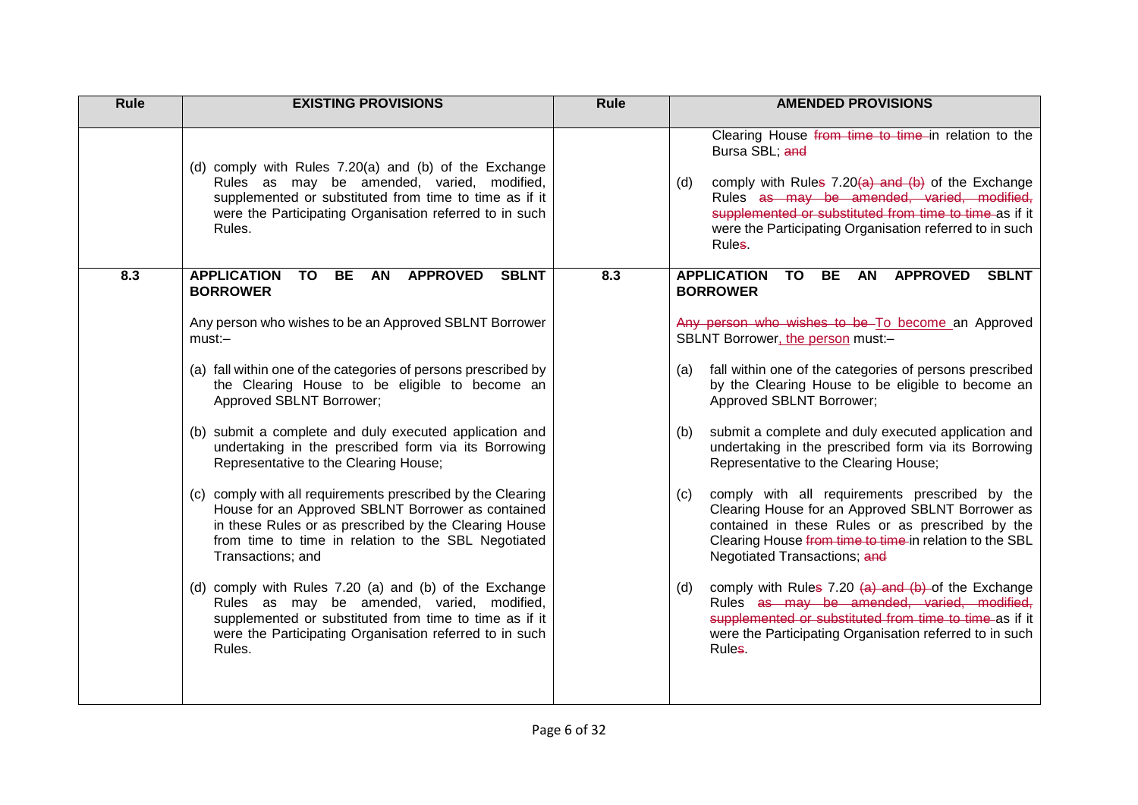| Rule | <b>EXISTING PROVISIONS</b>                                                                                                                                                                                                                            | Rule | <b>AMENDED PROVISIONS</b>                                                                                                                                                                                                                                                                                          |
|------|-------------------------------------------------------------------------------------------------------------------------------------------------------------------------------------------------------------------------------------------------------|------|--------------------------------------------------------------------------------------------------------------------------------------------------------------------------------------------------------------------------------------------------------------------------------------------------------------------|
|      | (d) comply with Rules 7.20(a) and (b) of the Exchange<br>Rules as may be amended, varied, modified,<br>supplemented or substituted from time to time as if it<br>were the Participating Organisation referred to in such<br>Rules.                    |      | Clearing House from time to time in relation to the<br>Bursa SBL; and<br>comply with Rules $7.20(a)$ and $(b)$ of the Exchange<br>(d)<br>Rules as may be amended, varied, modified,<br>supplemented or substituted from time to time as if it<br>were the Participating Organisation referred to in such<br>Rules. |
| 8.3  | <b>APPLICATION</b><br><b>TO</b><br><b>BE</b><br><b>AN</b><br><b>APPROVED</b><br><b>SBLNT</b><br><b>BORROWER</b>                                                                                                                                       | 8.3  | <b>APPLICATION</b><br><b>APPROVED</b><br><b>TO</b><br><b>BE</b><br><b>AN</b><br><b>SBLNT</b><br><b>BORROWER</b>                                                                                                                                                                                                    |
|      | Any person who wishes to be an Approved SBLNT Borrower<br>$must: -$                                                                                                                                                                                   |      | Any person who wishes to be To become an Approved<br>SBLNT Borrower, the person must:-                                                                                                                                                                                                                             |
|      | (a) fall within one of the categories of persons prescribed by<br>the Clearing House to be eligible to become an<br>Approved SBLNT Borrower;                                                                                                          |      | fall within one of the categories of persons prescribed<br>(a)<br>by the Clearing House to be eligible to become an<br>Approved SBLNT Borrower;                                                                                                                                                                    |
|      | (b) submit a complete and duly executed application and<br>undertaking in the prescribed form via its Borrowing<br>Representative to the Clearing House;                                                                                              |      | submit a complete and duly executed application and<br>(b)<br>undertaking in the prescribed form via its Borrowing<br>Representative to the Clearing House;                                                                                                                                                        |
|      | (c) comply with all requirements prescribed by the Clearing<br>House for an Approved SBLNT Borrower as contained<br>in these Rules or as prescribed by the Clearing House<br>from time to time in relation to the SBL Negotiated<br>Transactions; and |      | comply with all requirements prescribed by the<br>(c)<br>Clearing House for an Approved SBLNT Borrower as<br>contained in these Rules or as prescribed by the<br>Clearing House from time to time in relation to the SBL<br>Negotiated Transactions; and                                                           |
|      | (d) comply with Rules 7.20 (a) and (b) of the Exchange<br>Rules as may be amended, varied, modified,<br>supplemented or substituted from time to time as if it<br>were the Participating Organisation referred to in such<br>Rules.                   |      | comply with Rules 7.20 $(a)$ and $(b)$ -of the Exchange<br>(d)<br>Rules as may be amended, varied, modified,<br>supplemented or substituted from time to time as if it<br>were the Participating Organisation referred to in such<br>Rules.                                                                        |
|      |                                                                                                                                                                                                                                                       |      |                                                                                                                                                                                                                                                                                                                    |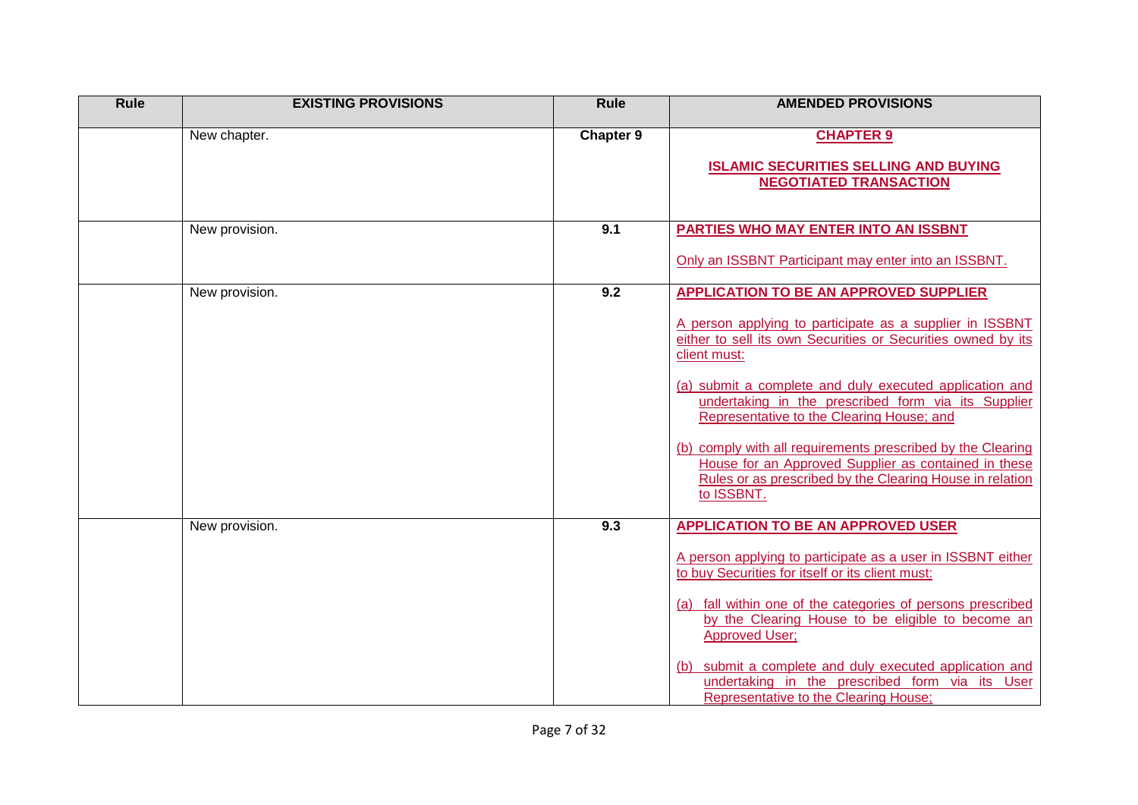| Rule | <b>EXISTING PROVISIONS</b> | Rule             | <b>AMENDED PROVISIONS</b>                                                                                                                                                                     |
|------|----------------------------|------------------|-----------------------------------------------------------------------------------------------------------------------------------------------------------------------------------------------|
|      | New chapter.               | <b>Chapter 9</b> | <b>CHAPTER 9</b>                                                                                                                                                                              |
|      |                            |                  | <b>ISLAMIC SECURITIES SELLING AND BUYING</b><br><b>NEGOTIATED TRANSACTION</b>                                                                                                                 |
|      |                            |                  |                                                                                                                                                                                               |
|      | New provision.             | 9.1              | PARTIES WHO MAY ENTER INTO AN ISSBNT                                                                                                                                                          |
|      |                            |                  | Only an ISSBNT Participant may enter into an ISSBNT.                                                                                                                                          |
|      | New provision.             | 9.2              | <b>APPLICATION TO BE AN APPROVED SUPPLIER</b>                                                                                                                                                 |
|      |                            |                  | A person applying to participate as a supplier in ISSBNT<br>either to sell its own Securities or Securities owned by its<br>client must:                                                      |
|      |                            |                  | (a) submit a complete and duly executed application and<br>undertaking in the prescribed form via its Supplier<br>Representative to the Clearing House; and                                   |
|      |                            |                  | (b) comply with all requirements prescribed by the Clearing<br>House for an Approved Supplier as contained in these<br>Rules or as prescribed by the Clearing House in relation<br>to ISSBNT. |
|      | New provision.             | 9.3              | <b>APPLICATION TO BE AN APPROVED USER</b>                                                                                                                                                     |
|      |                            |                  | A person applying to participate as a user in ISSBNT either<br>to buy Securities for itself or its client must:                                                                               |
|      |                            |                  | (a) fall within one of the categories of persons prescribed<br>by the Clearing House to be eligible to become an<br><b>Approved User:</b>                                                     |
|      |                            |                  | submit a complete and duly executed application and<br>(b)<br>undertaking in the prescribed form via its User<br>Representative to the Clearing House;                                        |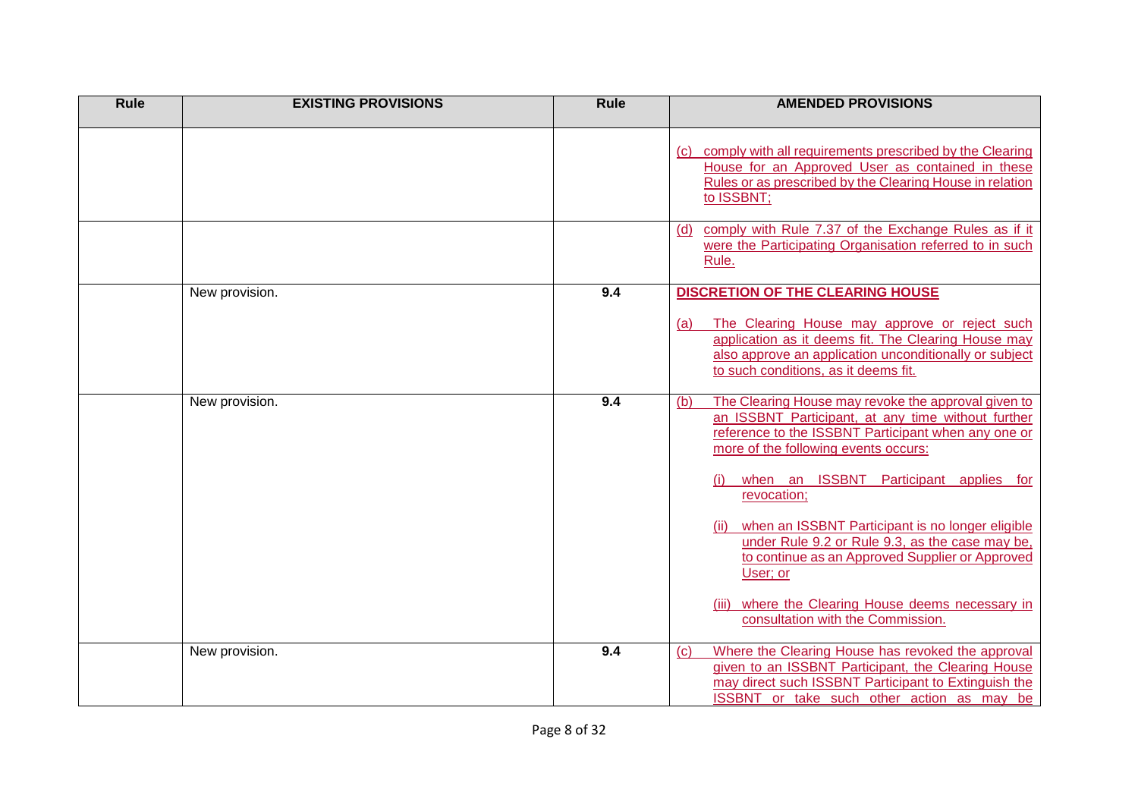| <b>Rule</b> | <b>EXISTING PROVISIONS</b> | Rule | <b>AMENDED PROVISIONS</b>                                                                                                                                                                                                                                                                                                                                                                                                                                                                                                                 |
|-------------|----------------------------|------|-------------------------------------------------------------------------------------------------------------------------------------------------------------------------------------------------------------------------------------------------------------------------------------------------------------------------------------------------------------------------------------------------------------------------------------------------------------------------------------------------------------------------------------------|
|             |                            |      | comply with all requirements prescribed by the Clearing<br>(C)<br>House for an Approved User as contained in these<br>Rules or as prescribed by the Clearing House in relation<br>to ISSBNT;                                                                                                                                                                                                                                                                                                                                              |
|             |                            |      | comply with Rule 7.37 of the Exchange Rules as if it<br>(d)<br>were the Participating Organisation referred to in such<br>Rule.                                                                                                                                                                                                                                                                                                                                                                                                           |
|             | New provision.             | 9.4  | <b>DISCRETION OF THE CLEARING HOUSE</b><br>The Clearing House may approve or reject such<br>(a)<br>application as it deems fit. The Clearing House may<br>also approve an application unconditionally or subject<br>to such conditions, as it deems fit.                                                                                                                                                                                                                                                                                  |
|             | New provision.             | 9.4  | The Clearing House may revoke the approval given to<br>(b)<br>an ISSBNT Participant, at any time without further<br>reference to the ISSBNT Participant when any one or<br>more of the following events occurs:<br>when an ISSBNT Participant applies for<br>(i)<br>revocation;<br>when an ISSBNT Participant is no longer eligible<br>under Rule 9.2 or Rule 9.3, as the case may be,<br>to continue as an Approved Supplier or Approved<br>User; or<br>where the Clearing House deems necessary in<br>consultation with the Commission. |
|             | New provision.             | 9.4  | Where the Clearing House has revoked the approval<br>(C)<br>given to an ISSBNT Participant, the Clearing House<br>may direct such ISSBNT Participant to Extinguish the<br><b>ISSBNT</b> or take such other action as may be                                                                                                                                                                                                                                                                                                               |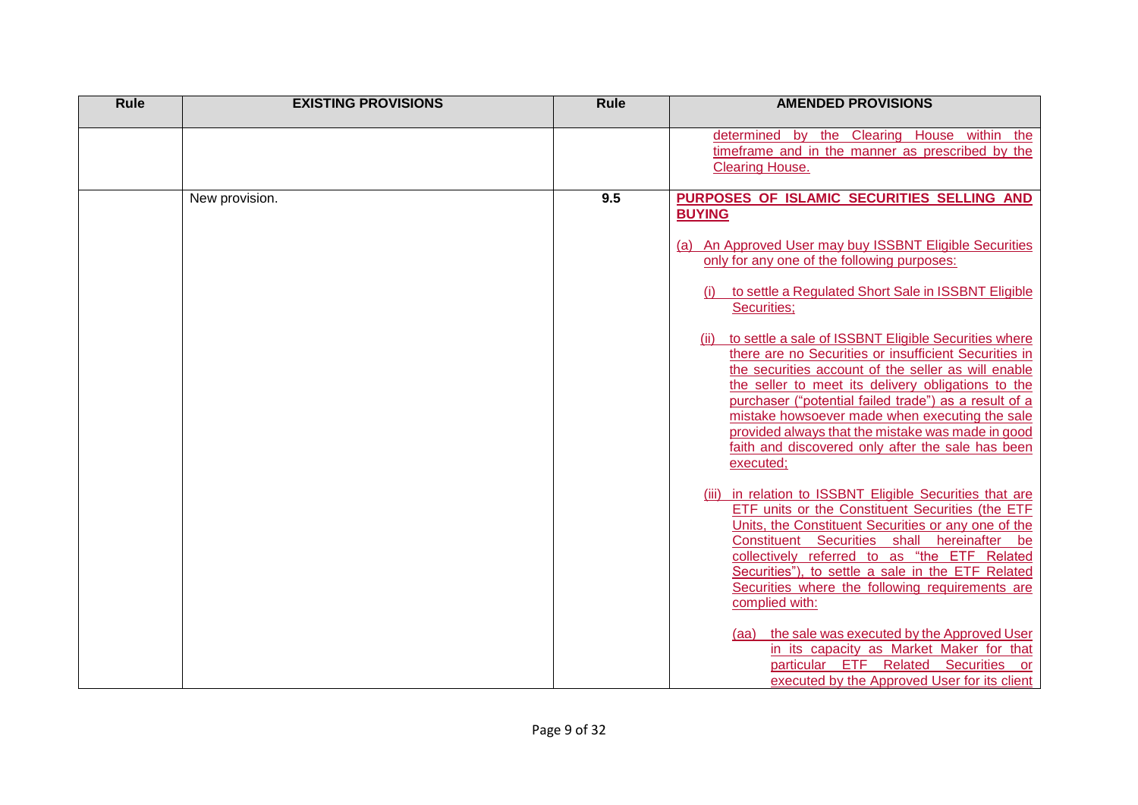| Rule | <b>EXISTING PROVISIONS</b> | <b>Rule</b> | <b>AMENDED PROVISIONS</b>                                                                                                                                                                                                                                                                                                                                                                            |
|------|----------------------------|-------------|------------------------------------------------------------------------------------------------------------------------------------------------------------------------------------------------------------------------------------------------------------------------------------------------------------------------------------------------------------------------------------------------------|
|      |                            |             | determined by the Clearing House within the<br>timeframe and in the manner as prescribed by the<br><b>Clearing House.</b>                                                                                                                                                                                                                                                                            |
|      | New provision.             | 9.5         | PURPOSES OF ISLAMIC SECURITIES SELLING AND<br><b>BUYING</b><br>(a) An Approved User may buy ISSBNT Eligible Securities<br>only for any one of the following purposes:<br>to settle a Regulated Short Sale in ISSBNT Eligible<br>Securities;<br>to settle a sale of ISSBNT Eligible Securities where<br>(ii)                                                                                          |
|      |                            |             | there are no Securities or insufficient Securities in<br>the securities account of the seller as will enable<br>the seller to meet its delivery obligations to the<br>purchaser ("potential failed trade") as a result of a<br>mistake howsoever made when executing the sale<br>provided always that the mistake was made in good<br>faith and discovered only after the sale has been<br>executed: |
|      |                            |             | in relation to ISSBNT Eligible Securities that are<br>(iii)<br>ETF units or the Constituent Securities (the ETF<br>Units, the Constituent Securities or any one of the<br>Constituent Securities shall hereinafter<br>be<br>collectively referred to as "the ETF Related<br>Securities"), to settle a sale in the ETF Related<br>Securities where the following requirements are<br>complied with:   |
|      |                            |             | (aa) the sale was executed by the Approved User<br>in its capacity as Market Maker for that<br>particular ETF Related Securities or<br>executed by the Approved User for its client                                                                                                                                                                                                                  |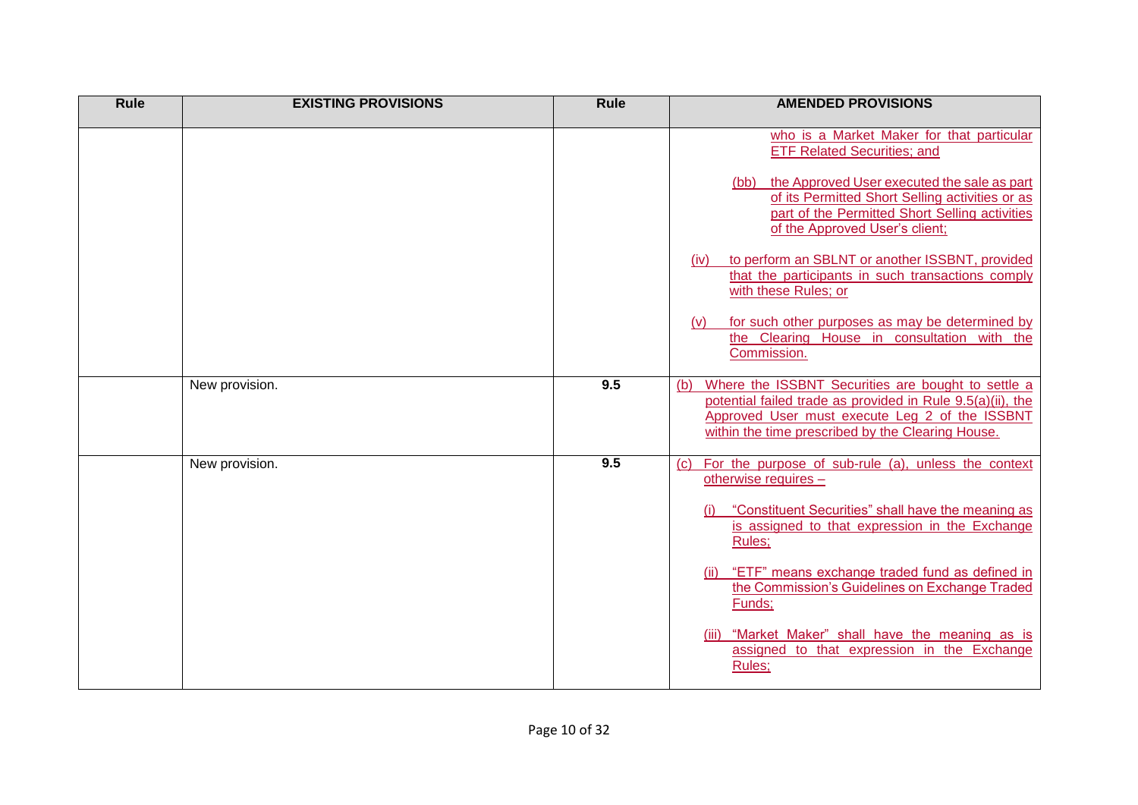| <b>Rule</b> | <b>EXISTING PROVISIONS</b> | <b>Rule</b> | <b>AMENDED PROVISIONS</b>                                                                                                                                                                                                      |
|-------------|----------------------------|-------------|--------------------------------------------------------------------------------------------------------------------------------------------------------------------------------------------------------------------------------|
|             |                            |             | who is a Market Maker for that particular<br><b>ETF Related Securities; and</b>                                                                                                                                                |
|             |                            |             | the Approved User executed the sale as part<br>(bb)<br>of its Permitted Short Selling activities or as<br>part of the Permitted Short Selling activities<br>of the Approved User's client;                                     |
|             |                            |             | to perform an SBLNT or another ISSBNT, provided<br>(iv)<br>that the participants in such transactions comply<br>with these Rules; or                                                                                           |
|             |                            |             | for such other purposes as may be determined by<br>(v)<br>the Clearing House in consultation with the<br>Commission.                                                                                                           |
|             | New provision.             | 9.5         | Where the ISSBNT Securities are bought to settle a<br>(b)<br>potential failed trade as provided in Rule 9.5(a)(ii), the<br>Approved User must execute Leg 2 of the ISSBNT<br>within the time prescribed by the Clearing House. |
|             | New provision.             | 9.5         | For the purpose of sub-rule (a), unless the context<br>(c)<br>otherwise requires -                                                                                                                                             |
|             |                            |             | "Constituent Securities" shall have the meaning as<br>is assigned to that expression in the Exchange<br>Rules;                                                                                                                 |
|             |                            |             | (ii) "ETF" means exchange traded fund as defined in<br>the Commission's Guidelines on Exchange Traded<br>Funds;                                                                                                                |
|             |                            |             | (iii) "Market Maker" shall have the meaning as is<br>assigned to that expression in the Exchange<br>Rules;                                                                                                                     |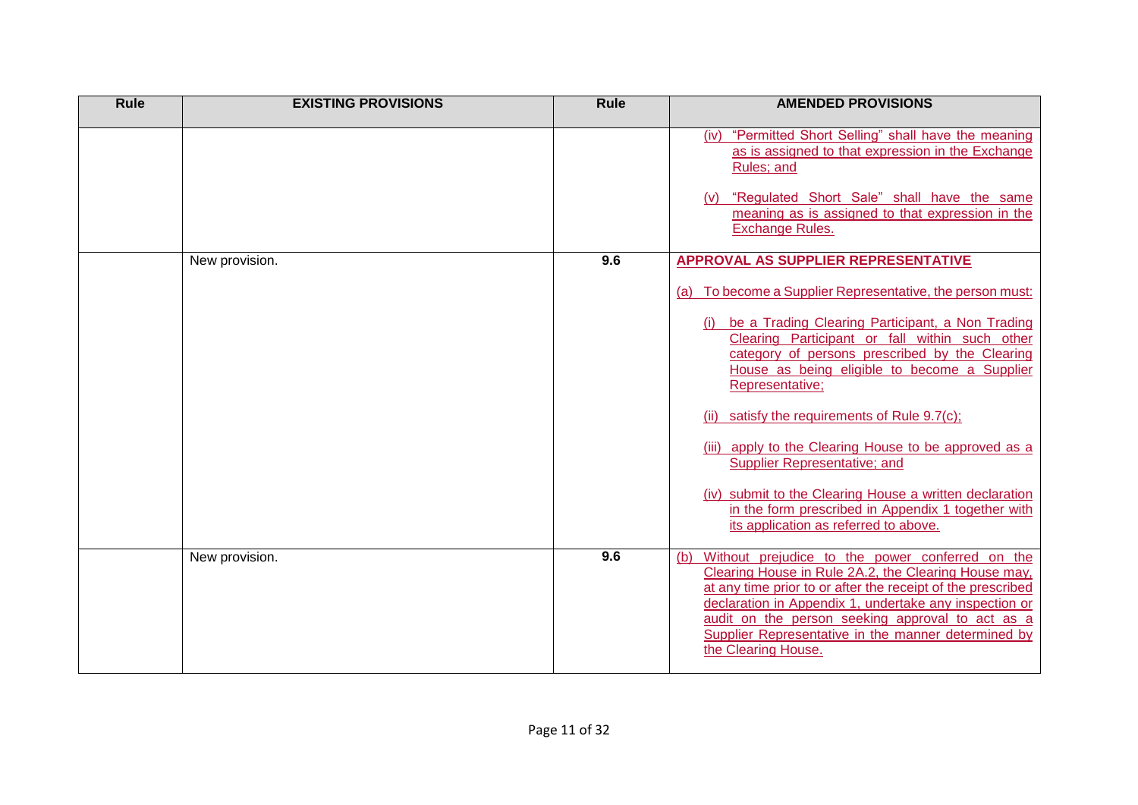| <b>Rule</b> | <b>EXISTING PROVISIONS</b> | <b>Rule</b> | <b>AMENDED PROVISIONS</b>                                                                                                                                                                                                                                                                                                                                                                                                                                                                                                                                                                                                                 |
|-------------|----------------------------|-------------|-------------------------------------------------------------------------------------------------------------------------------------------------------------------------------------------------------------------------------------------------------------------------------------------------------------------------------------------------------------------------------------------------------------------------------------------------------------------------------------------------------------------------------------------------------------------------------------------------------------------------------------------|
|             |                            |             | (iv) "Permitted Short Selling" shall have the meaning<br>as is assigned to that expression in the Exchange<br>Rules; and<br>"Regulated Short Sale" shall have the same<br>meaning as is assigned to that expression in the<br><b>Exchange Rules.</b>                                                                                                                                                                                                                                                                                                                                                                                      |
|             | New provision.             | 9.6         | <b>APPROVAL AS SUPPLIER REPRESENTATIVE</b><br>(a) To become a Supplier Representative, the person must:<br>be a Trading Clearing Participant, a Non Trading<br>Clearing Participant or fall within such other<br>category of persons prescribed by the Clearing<br>House as being eligible to become a Supplier<br>Representative;<br>(ii) satisfy the requirements of Rule $9.7(c)$ ;<br>(iii) apply to the Clearing House to be approved as a<br>Supplier Representative; and<br>(iv) submit to the Clearing House a written declaration<br>in the form prescribed in Appendix 1 together with<br>its application as referred to above. |
|             | New provision.             | 9.6         | Without prejudice to the power conferred on the<br>(b)<br>Clearing House in Rule 2A.2, the Clearing House may,<br>at any time prior to or after the receipt of the prescribed<br>declaration in Appendix 1, undertake any inspection or<br>audit on the person seeking approval to act as a<br>Supplier Representative in the manner determined by<br>the Clearing House.                                                                                                                                                                                                                                                                 |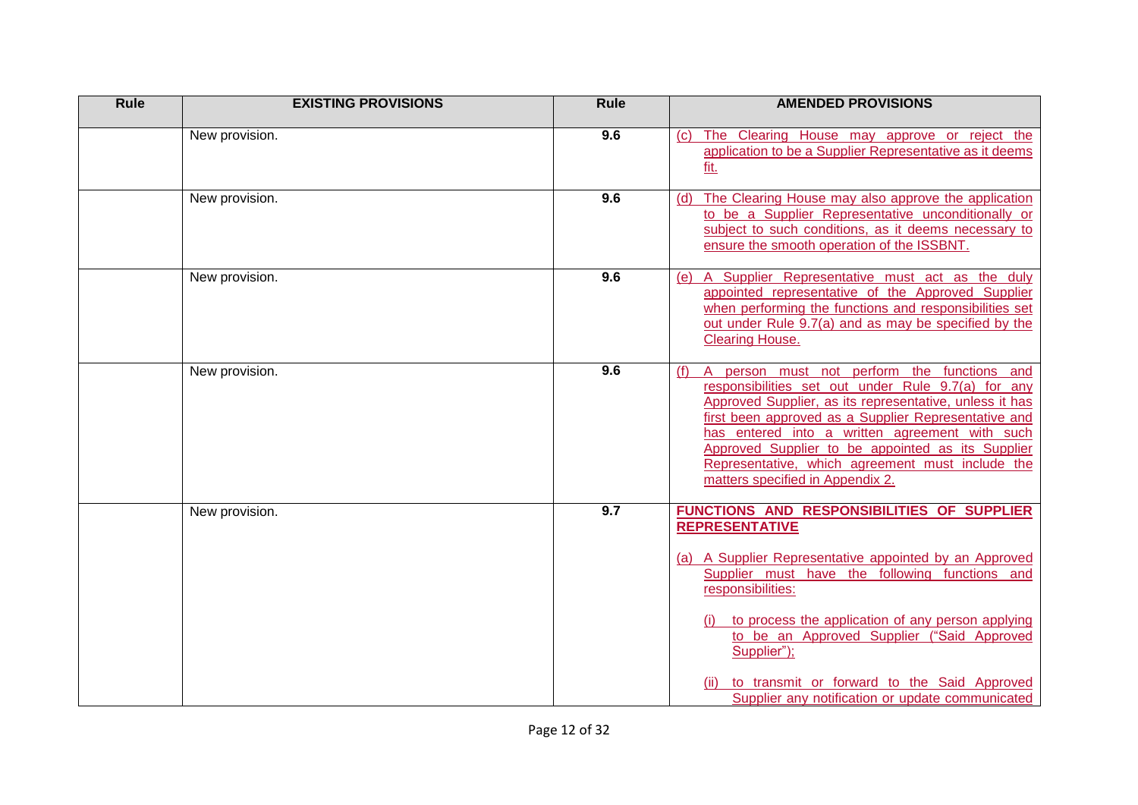| <b>Rule</b> | <b>EXISTING PROVISIONS</b> | Rule | <b>AMENDED PROVISIONS</b>                                                                                                                                                                                                                                                                                                                                                                                                  |
|-------------|----------------------------|------|----------------------------------------------------------------------------------------------------------------------------------------------------------------------------------------------------------------------------------------------------------------------------------------------------------------------------------------------------------------------------------------------------------------------------|
|             | New provision.             | 9.6  | The Clearing House may approve or reject the<br>(C)<br>application to be a Supplier Representative as it deems<br>fit.                                                                                                                                                                                                                                                                                                     |
|             | New provision.             | 9.6  | The Clearing House may also approve the application<br>(d)<br>to be a Supplier Representative unconditionally or<br>subject to such conditions, as it deems necessary to<br>ensure the smooth operation of the ISSBNT.                                                                                                                                                                                                     |
|             | New provision.             | 9.6  | A Supplier Representative must act as the duly<br>(e)<br>appointed representative of the Approved Supplier<br>when performing the functions and responsibilities set<br>out under Rule 9.7(a) and as may be specified by the<br><b>Clearing House.</b>                                                                                                                                                                     |
|             | New provision.             | 9.6  | A person must not perform the functions and<br>(f)<br>responsibilities set out under Rule 9.7(a) for any<br>Approved Supplier, as its representative, unless it has<br>first been approved as a Supplier Representative and<br>has entered into a written agreement with such<br>Approved Supplier to be appointed as its Supplier<br>Representative, which agreement must include the<br>matters specified in Appendix 2. |
|             | New provision.             | 9.7  | FUNCTIONS AND RESPONSIBILITIES OF SUPPLIER<br><b>REPRESENTATIVE</b><br>(a) A Supplier Representative appointed by an Approved<br>Supplier must have the following functions and<br>responsibilities:<br>to process the application of any person applying<br>to be an Approved Supplier ("Said Approved<br>Supplier");<br>to transmit or forward to the Said Approved<br>Supplier any notification or update communicated  |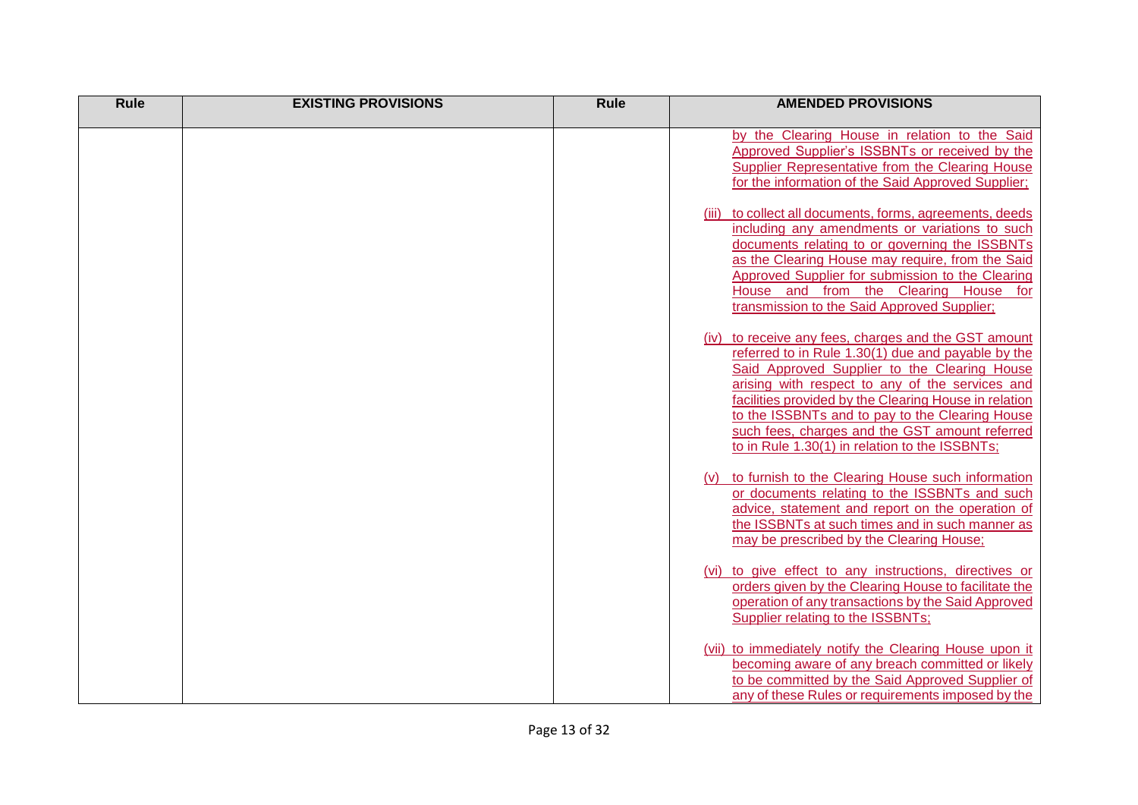| <b>Rule</b> | <b>EXISTING PROVISIONS</b> | <b>Rule</b> | <b>AMENDED PROVISIONS</b>                                                                                                                                                                                                                                                                                                                                                                                                     |
|-------------|----------------------------|-------------|-------------------------------------------------------------------------------------------------------------------------------------------------------------------------------------------------------------------------------------------------------------------------------------------------------------------------------------------------------------------------------------------------------------------------------|
|             |                            |             | by the Clearing House in relation to the Said<br>Approved Supplier's ISSBNTs or received by the<br>Supplier Representative from the Clearing House<br>for the information of the Said Approved Supplier;                                                                                                                                                                                                                      |
|             |                            |             | to collect all documents, forms, agreements, deeds<br>(iii)<br>including any amendments or variations to such<br>documents relating to or governing the ISSBNTs<br>as the Clearing House may require, from the Said<br>Approved Supplier for submission to the Clearing<br>House and from the Clearing House for<br>transmission to the Said Approved Supplier;                                                               |
|             |                            |             | (iv) to receive any fees, charges and the GST amount<br>referred to in Rule 1.30(1) due and payable by the<br>Said Approved Supplier to the Clearing House<br>arising with respect to any of the services and<br>facilities provided by the Clearing House in relation<br>to the ISSBNTs and to pay to the Clearing House<br>such fees, charges and the GST amount referred<br>to in Rule 1.30(1) in relation to the ISSBNTs; |
|             |                            |             | to furnish to the Clearing House such information<br>or documents relating to the ISSBNTs and such<br>advice, statement and report on the operation of<br>the ISSBNTs at such times and in such manner as<br>may be prescribed by the Clearing House;                                                                                                                                                                         |
|             |                            |             | (vi) to give effect to any instructions, directives or<br>orders given by the Clearing House to facilitate the<br>operation of any transactions by the Said Approved<br>Supplier relating to the ISSBNTs;                                                                                                                                                                                                                     |
|             |                            |             | (vii) to immediately notify the Clearing House upon it<br>becoming aware of any breach committed or likely<br>to be committed by the Said Approved Supplier of<br>any of these Rules or requirements imposed by the                                                                                                                                                                                                           |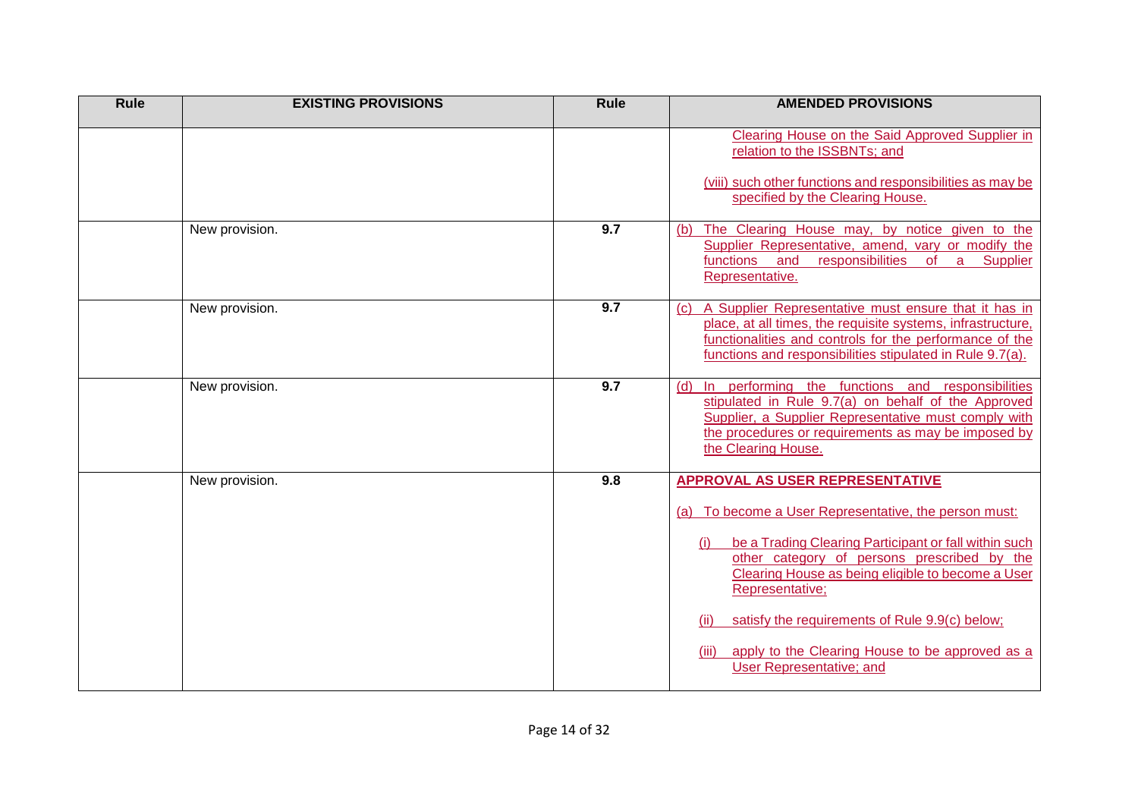| Rule | <b>EXISTING PROVISIONS</b> | <b>Rule</b>      | <b>AMENDED PROVISIONS</b>                                                                                                                                                                                                                                                                                                                                                                                                         |
|------|----------------------------|------------------|-----------------------------------------------------------------------------------------------------------------------------------------------------------------------------------------------------------------------------------------------------------------------------------------------------------------------------------------------------------------------------------------------------------------------------------|
|      |                            |                  | Clearing House on the Said Approved Supplier in<br>relation to the ISSBNTs; and                                                                                                                                                                                                                                                                                                                                                   |
|      |                            |                  | (viii) such other functions and responsibilities as may be<br>specified by the Clearing House.                                                                                                                                                                                                                                                                                                                                    |
|      | New provision.             | 9.7              | The Clearing House may, by notice given to the<br>(b)<br>Supplier Representative, amend, vary or modify the<br>functions and responsibilities<br>Supplier<br>of<br>a<br>Representative.                                                                                                                                                                                                                                           |
|      | New provision.             | 9.7              | A Supplier Representative must ensure that it has in<br>(c)<br>place, at all times, the requisite systems, infrastructure,<br>functionalities and controls for the performance of the<br>functions and responsibilities stipulated in Rule 9.7(a).                                                                                                                                                                                |
|      | New provision.             | $\overline{9.7}$ | In performing the functions and responsibilities<br>(d)<br>stipulated in Rule 9.7(a) on behalf of the Approved<br>Supplier, a Supplier Representative must comply with<br>the procedures or requirements as may be imposed by<br>the Clearing House.                                                                                                                                                                              |
|      | New provision.             | 9.8              | <b>APPROVAL AS USER REPRESENTATIVE</b><br>(a) To become a User Representative, the person must:<br>be a Trading Clearing Participant or fall within such<br>other category of persons prescribed by the<br>Clearing House as being eligible to become a User<br>Representative;<br>satisfy the requirements of Rule 9.9(c) below;<br>(ii)<br>apply to the Clearing House to be approved as a<br>(iii)<br>User Representative; and |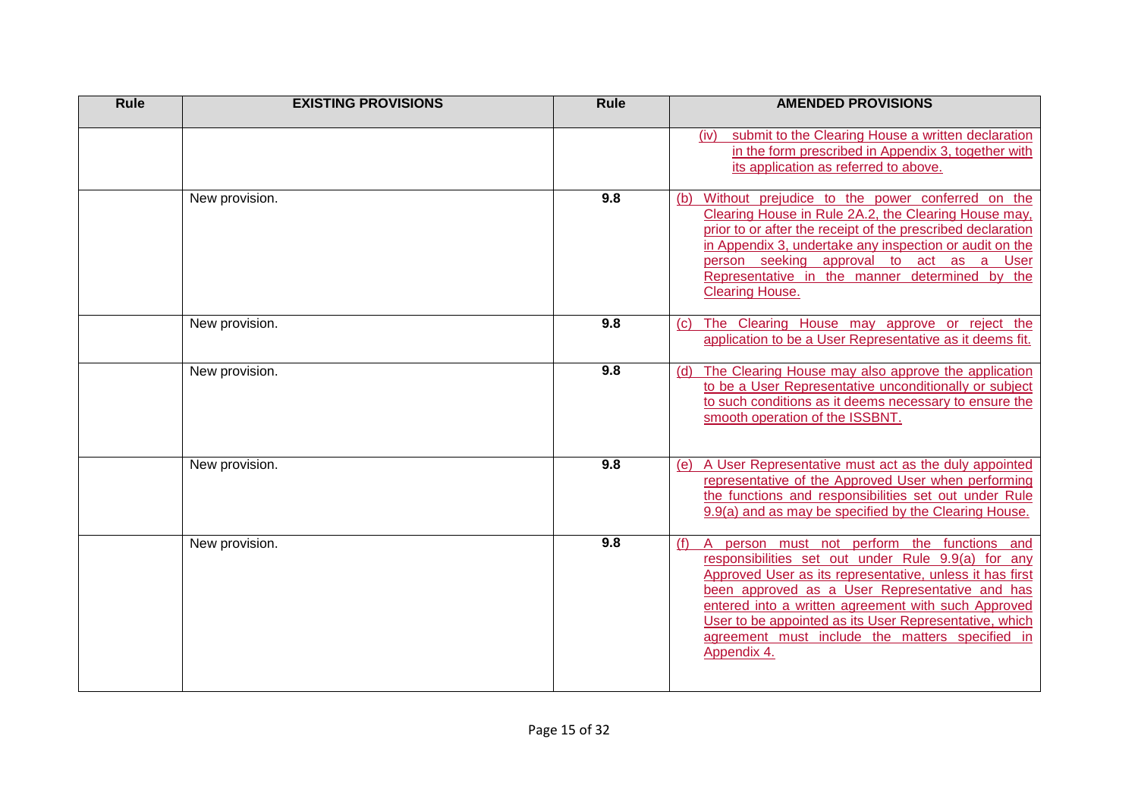| Rule | <b>EXISTING PROVISIONS</b> | <b>Rule</b> | <b>AMENDED PROVISIONS</b>                                                                                                                                                                                                                                                                                                                                                                                 |
|------|----------------------------|-------------|-----------------------------------------------------------------------------------------------------------------------------------------------------------------------------------------------------------------------------------------------------------------------------------------------------------------------------------------------------------------------------------------------------------|
|      |                            |             | submit to the Clearing House a written declaration<br>(iv)<br>in the form prescribed in Appendix 3, together with<br>its application as referred to above.                                                                                                                                                                                                                                                |
|      | New provision.             | 9.8         | Without prejudice to the power conferred on the<br>(b)<br>Clearing House in Rule 2A.2, the Clearing House may,<br>prior to or after the receipt of the prescribed declaration<br>in Appendix 3, undertake any inspection or audit on the<br>person seeking approval to act as a User<br>Representative in the manner determined by the<br><b>Clearing House.</b>                                          |
|      | New provision.             | 9.8         | The Clearing House may approve or reject the<br>(C)<br>application to be a User Representative as it deems fit.                                                                                                                                                                                                                                                                                           |
|      | New provision.             | 9.8         | The Clearing House may also approve the application<br>(d)<br>to be a User Representative unconditionally or subject<br>to such conditions as it deems necessary to ensure the<br>smooth operation of the ISSBNT.                                                                                                                                                                                         |
|      | New provision.             | 9.8         | A User Representative must act as the duly appointed<br>(e)<br>representative of the Approved User when performing<br>the functions and responsibilities set out under Rule<br>9.9(a) and as may be specified by the Clearing House.                                                                                                                                                                      |
|      | New provision.             | 9.8         | A person must not perform the functions and<br>(f)<br>responsibilities set out under Rule 9.9(a) for any<br>Approved User as its representative, unless it has first<br>been approved as a User Representative and has<br>entered into a written agreement with such Approved<br>User to be appointed as its User Representative, which<br>agreement must include the matters specified in<br>Appendix 4. |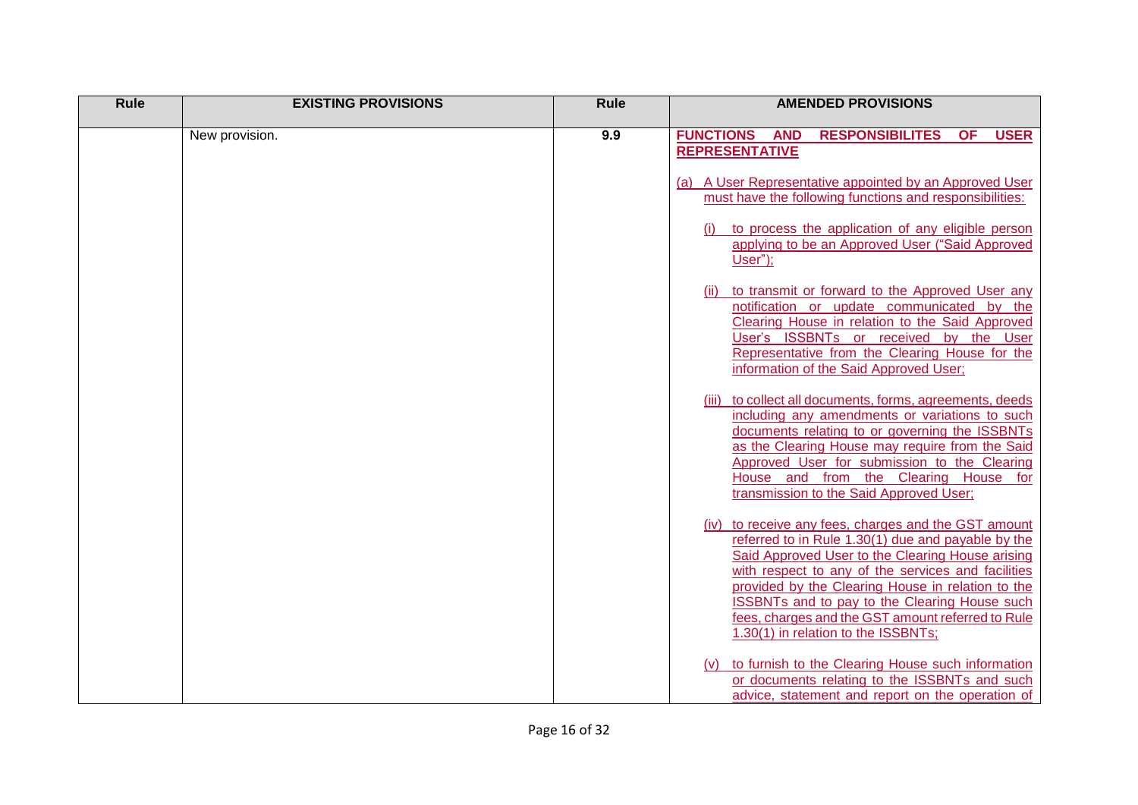| <b>Rule</b> | <b>EXISTING PROVISIONS</b> | <b>Rule</b> | <b>AMENDED PROVISIONS</b>                                                                                                                                                                                                                                                                                                                                                                                                     |
|-------------|----------------------------|-------------|-------------------------------------------------------------------------------------------------------------------------------------------------------------------------------------------------------------------------------------------------------------------------------------------------------------------------------------------------------------------------------------------------------------------------------|
|             | New provision.             | 9.9         | <b>USER</b><br><b>FUNCTIONS</b><br><b>AND</b><br><b>RESPONSIBILITES</b><br><b>OF</b><br><b>REPRESENTATIVE</b>                                                                                                                                                                                                                                                                                                                 |
|             |                            |             | (a) A User Representative appointed by an Approved User<br>must have the following functions and responsibilities:                                                                                                                                                                                                                                                                                                            |
|             |                            |             | to process the application of any eligible person<br>applying to be an Approved User ("Said Approved<br>User");                                                                                                                                                                                                                                                                                                               |
|             |                            |             | to transmit or forward to the Approved User any<br>notification or update communicated by the<br>Clearing House in relation to the Said Approved<br>User's ISSBNTs or received by the User<br>Representative from the Clearing House for the<br>information of the Said Approved User;                                                                                                                                        |
|             |                            |             | to collect all documents, forms, agreements, deeds<br>including any amendments or variations to such<br>documents relating to or governing the ISSBNTs<br>as the Clearing House may require from the Said<br>Approved User for submission to the Clearing<br>House and from the Clearing House for<br>transmission to the Said Approved User;                                                                                 |
|             |                            |             | (iv) to receive any fees, charges and the GST amount<br>referred to in Rule 1.30(1) due and payable by the<br>Said Approved User to the Clearing House arising<br>with respect to any of the services and facilities<br>provided by the Clearing House in relation to the<br><b>ISSBNTs and to pay to the Clearing House such</b><br>fees, charges and the GST amount referred to Rule<br>1.30(1) in relation to the ISSBNTs; |
|             |                            |             | to furnish to the Clearing House such information<br>(V)<br>or documents relating to the ISSBNTs and such<br>advice, statement and report on the operation of                                                                                                                                                                                                                                                                 |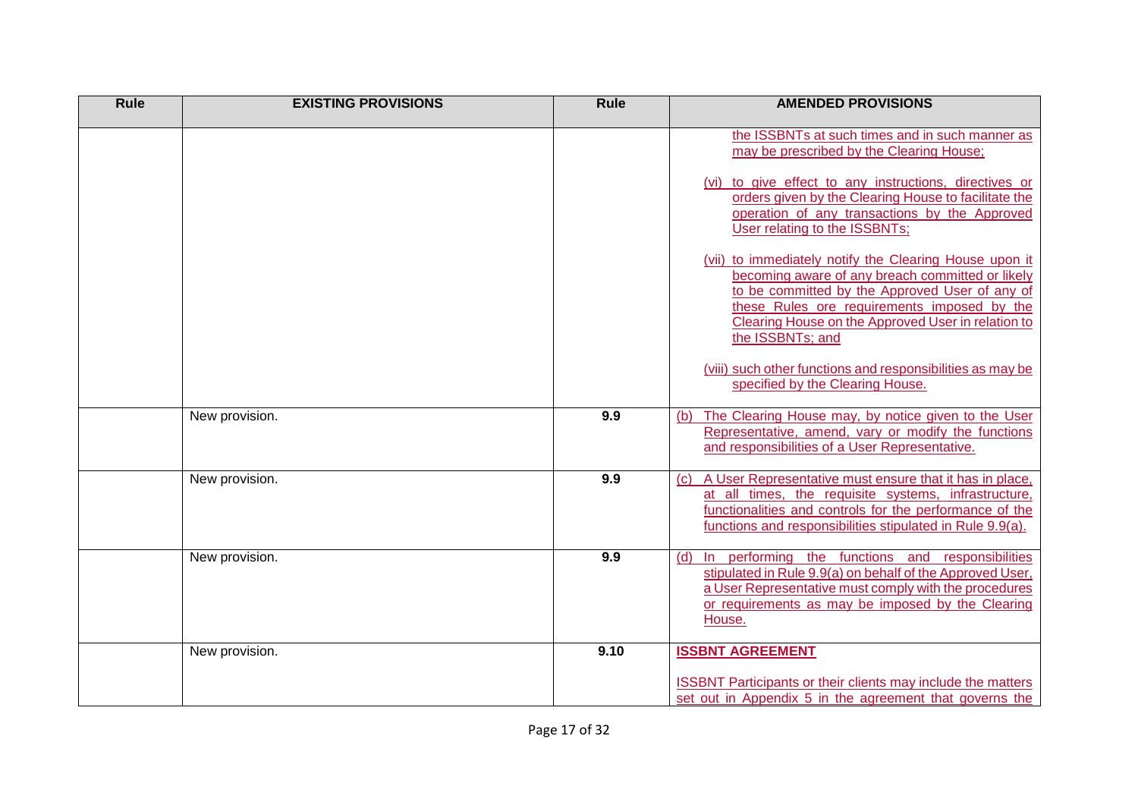| <b>Rule</b> | <b>EXISTING PROVISIONS</b> | <b>Rule</b> | <b>AMENDED PROVISIONS</b>                                                                                                                                                                                                                                                             |
|-------------|----------------------------|-------------|---------------------------------------------------------------------------------------------------------------------------------------------------------------------------------------------------------------------------------------------------------------------------------------|
|             |                            |             | the ISSBNTs at such times and in such manner as<br>may be prescribed by the Clearing House;<br>(vi) to give effect to any instructions, directives or<br>orders given by the Clearing House to facilitate the                                                                         |
|             |                            |             | operation of any transactions by the Approved<br>User relating to the ISSBNTs;                                                                                                                                                                                                        |
|             |                            |             | (vii) to immediately notify the Clearing House upon it<br>becoming aware of any breach committed or likely<br>to be committed by the Approved User of any of<br>these Rules ore requirements imposed by the<br>Clearing House on the Approved User in relation to<br>the ISSBNTs; and |
|             |                            |             | (viii) such other functions and responsibilities as may be<br>specified by the Clearing House.                                                                                                                                                                                        |
|             | New provision.             | 9.9         | The Clearing House may, by notice given to the User<br>(b)<br>Representative, amend, vary or modify the functions<br>and responsibilities of a User Representative.                                                                                                                   |
|             | New provision.             | 9.9         | A User Representative must ensure that it has in place,<br>(C)<br>at all times, the requisite systems, infrastructure,<br>functionalities and controls for the performance of the<br>functions and responsibilities stipulated in Rule 9.9(a).                                        |
|             | New provision.             | 9.9         | In performing the functions and responsibilities<br>(d)<br>stipulated in Rule 9.9(a) on behalf of the Approved User,<br>a User Representative must comply with the procedures<br>or requirements as may be imposed by the Clearing<br>House.                                          |
|             | New provision.             | 9.10        | <b>ISSBNT AGREEMENT</b><br><b>ISSBNT Participants or their clients may include the matters</b><br>set out in Appendix 5 in the agreement that governs the                                                                                                                             |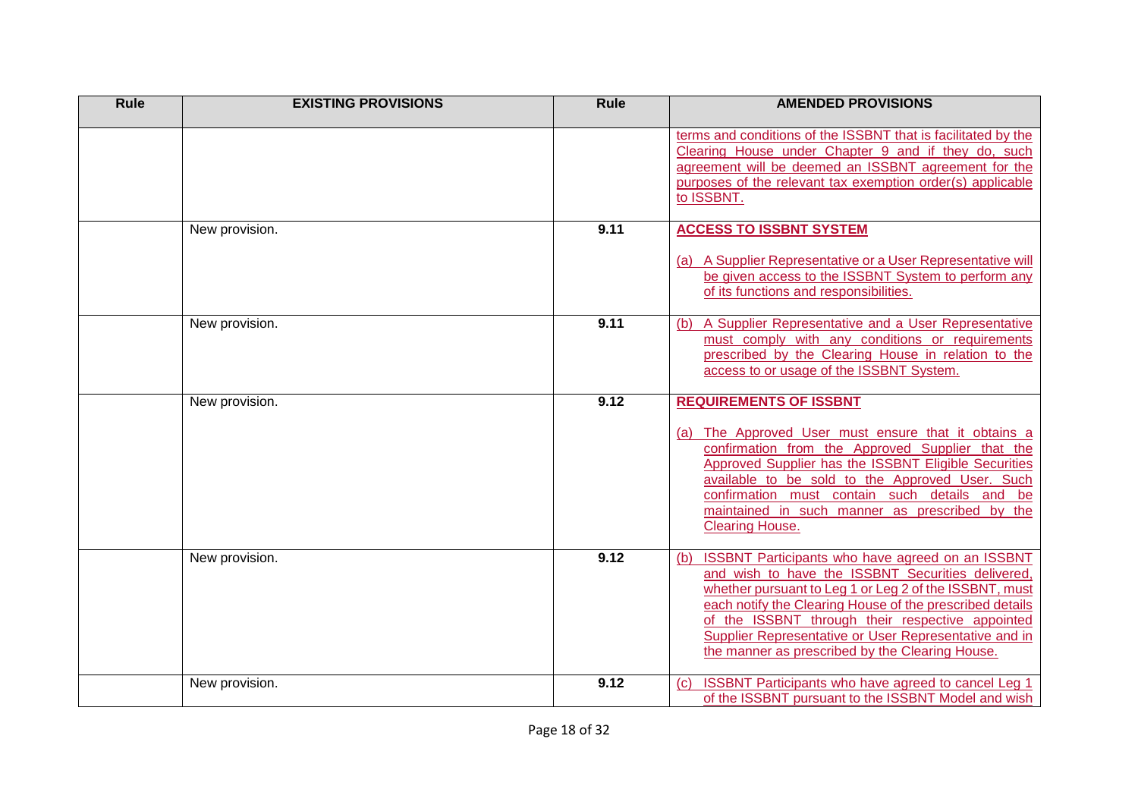| <b>Rule</b> | <b>EXISTING PROVISIONS</b> | <b>Rule</b> | <b>AMENDED PROVISIONS</b>                                                                                                                                                                                                                                                                                                                                                                          |
|-------------|----------------------------|-------------|----------------------------------------------------------------------------------------------------------------------------------------------------------------------------------------------------------------------------------------------------------------------------------------------------------------------------------------------------------------------------------------------------|
|             |                            |             | terms and conditions of the ISSBNT that is facilitated by the<br>Clearing House under Chapter 9 and if they do, such<br>agreement will be deemed an ISSBNT agreement for the<br>purposes of the relevant tax exemption order(s) applicable<br>to ISSBNT.                                                                                                                                           |
|             | New provision.             | 9.11        | <b>ACCESS TO ISSBNT SYSTEM</b><br>(a) A Supplier Representative or a User Representative will<br>be given access to the ISSBNT System to perform any<br>of its functions and responsibilities.                                                                                                                                                                                                     |
|             | New provision.             | 9.11        | A Supplier Representative and a User Representative<br>(b)<br>must comply with any conditions or requirements<br>prescribed by the Clearing House in relation to the<br>access to or usage of the ISSBNT System.                                                                                                                                                                                   |
|             | New provision.             | 9.12        | <b>REQUIREMENTS OF ISSBNT</b><br>(a) The Approved User must ensure that it obtains a<br>confirmation from the Approved Supplier that the<br>Approved Supplier has the ISSBNT Eligible Securities<br>available to be sold to the Approved User. Such<br>confirmation must contain such details and be<br>maintained in such manner as prescribed by the<br><b>Clearing House.</b>                   |
|             | New provision.             | 9.12        | ISSBNT Participants who have agreed on an ISSBNT<br>(b)<br>and wish to have the ISSBNT Securities delivered,<br>whether pursuant to Leg 1 or Leg 2 of the ISSBNT, must<br>each notify the Clearing House of the prescribed details<br>of the ISSBNT through their respective appointed<br>Supplier Representative or User Representative and in<br>the manner as prescribed by the Clearing House. |
|             | New provision.             | 9.12        | <b>ISSBNT Participants who have agreed to cancel Leg 1</b><br>(C)<br>of the ISSBNT pursuant to the ISSBNT Model and wish                                                                                                                                                                                                                                                                           |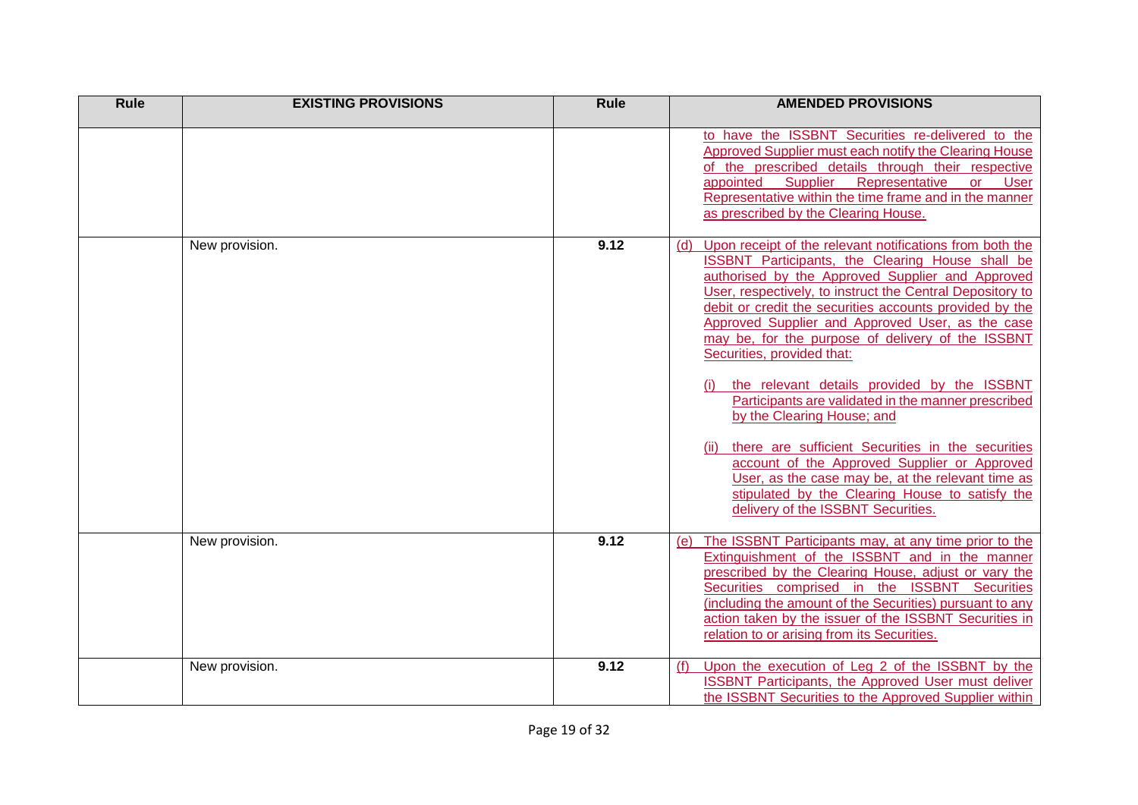| <b>Rule</b> | <b>EXISTING PROVISIONS</b> | <b>Rule</b> | <b>AMENDED PROVISIONS</b>                                                                                                                                                                                                                                                                                                                                                                                                                                                                                                                                                                                                                                                                                                                                                                                                     |
|-------------|----------------------------|-------------|-------------------------------------------------------------------------------------------------------------------------------------------------------------------------------------------------------------------------------------------------------------------------------------------------------------------------------------------------------------------------------------------------------------------------------------------------------------------------------------------------------------------------------------------------------------------------------------------------------------------------------------------------------------------------------------------------------------------------------------------------------------------------------------------------------------------------------|
|             |                            |             | to have the ISSBNT Securities re-delivered to the<br>Approved Supplier must each notify the Clearing House<br>of the prescribed details through their respective<br>appointed<br>Supplier<br>Representative<br><b>or</b><br><b>User</b><br>Representative within the time frame and in the manner<br>as prescribed by the Clearing House.                                                                                                                                                                                                                                                                                                                                                                                                                                                                                     |
|             | New provision.             | 9.12        | Upon receipt of the relevant notifications from both the<br>(d)<br>ISSBNT Participants, the Clearing House shall be<br>authorised by the Approved Supplier and Approved<br>User, respectively, to instruct the Central Depository to<br>debit or credit the securities accounts provided by the<br>Approved Supplier and Approved User, as the case<br>may be, for the purpose of delivery of the ISSBNT<br>Securities, provided that:<br>the relevant details provided by the ISSBNT<br>Participants are validated in the manner prescribed<br>by the Clearing House; and<br>there are sufficient Securities in the securities<br>account of the Approved Supplier or Approved<br>User, as the case may be, at the relevant time as<br>stipulated by the Clearing House to satisfy the<br>delivery of the ISSBNT Securities. |
|             | New provision.             | 9.12        | The ISSBNT Participants may, at any time prior to the<br>(e)<br>Extinguishment of the ISSBNT and in the manner<br>prescribed by the Clearing House, adjust or vary the<br>Securities comprised in the ISSBNT Securities<br>(including the amount of the Securities) pursuant to any<br>action taken by the issuer of the ISSBNT Securities in<br>relation to or arising from its Securities.                                                                                                                                                                                                                                                                                                                                                                                                                                  |
|             | New provision.             | 9.12        | Upon the execution of Leg 2 of the ISSBNT by the<br>(f)<br><b>ISSBNT Participants, the Approved User must deliver</b><br>the ISSBNT Securities to the Approved Supplier within                                                                                                                                                                                                                                                                                                                                                                                                                                                                                                                                                                                                                                                |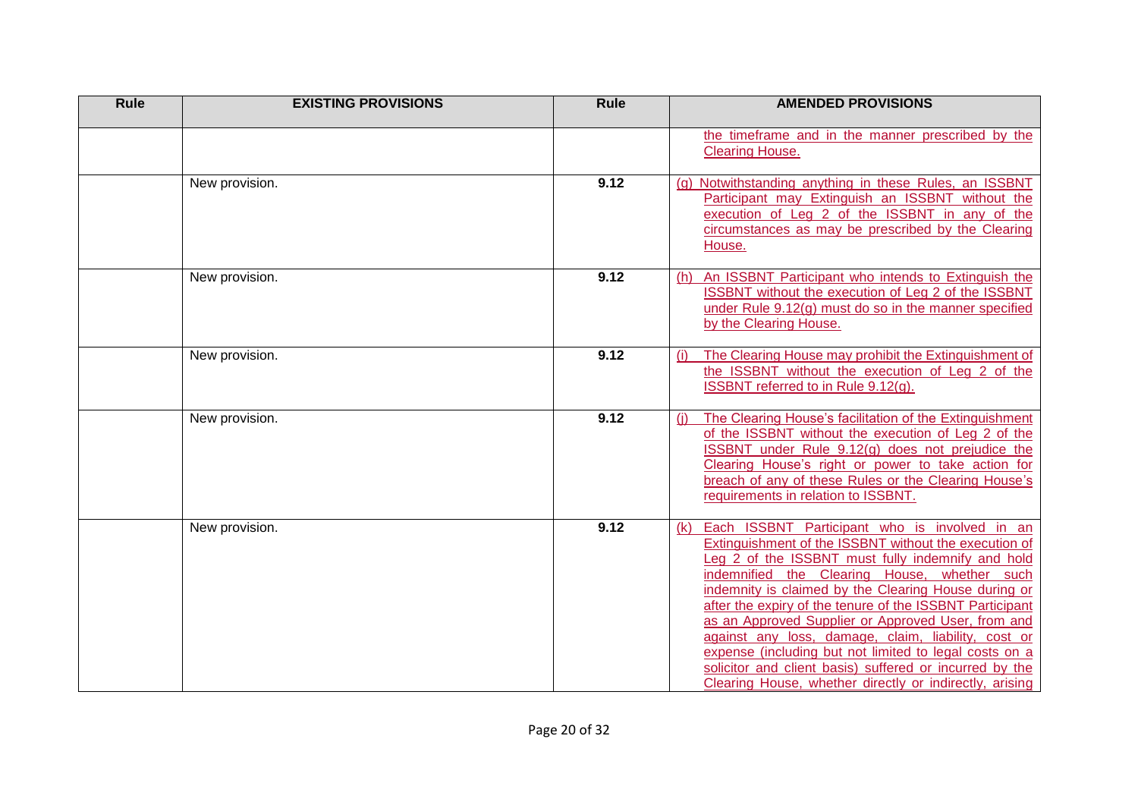| <b>Rule</b> | <b>EXISTING PROVISIONS</b> | <b>Rule</b> | <b>AMENDED PROVISIONS</b>                                                                                                                                                                                                                                                                                                                                                                                                                                                                                                                                                                                                           |
|-------------|----------------------------|-------------|-------------------------------------------------------------------------------------------------------------------------------------------------------------------------------------------------------------------------------------------------------------------------------------------------------------------------------------------------------------------------------------------------------------------------------------------------------------------------------------------------------------------------------------------------------------------------------------------------------------------------------------|
|             |                            |             | the timeframe and in the manner prescribed by the<br><b>Clearing House.</b>                                                                                                                                                                                                                                                                                                                                                                                                                                                                                                                                                         |
|             | New provision.             | 9.12        | Notwithstanding anything in these Rules, an ISSBNT<br>(a)<br>Participant may Extinguish an ISSBNT without the<br>execution of Leg 2 of the ISSBNT in any of the<br>circumstances as may be prescribed by the Clearing<br>House.                                                                                                                                                                                                                                                                                                                                                                                                     |
|             | New provision.             | 9.12        | An ISSBNT Participant who intends to Extinguish the<br>(h)<br>ISSBNT without the execution of Leg 2 of the ISSBNT<br>under Rule 9.12(g) must do so in the manner specified<br>by the Clearing House.                                                                                                                                                                                                                                                                                                                                                                                                                                |
|             | New provision.             | 9.12        | The Clearing House may prohibit the Extinguishment of<br>the ISSBNT without the execution of Leg 2 of the<br>ISSBNT referred to in Rule 9.12(g).                                                                                                                                                                                                                                                                                                                                                                                                                                                                                    |
|             | New provision.             | 9.12        | The Clearing House's facilitation of the Extinguishment<br>(i)<br>of the ISSBNT without the execution of Leg 2 of the<br>ISSBNT under Rule 9.12(g) does not prejudice the<br>Clearing House's right or power to take action for<br>breach of any of these Rules or the Clearing House's<br>requirements in relation to ISSBNT.                                                                                                                                                                                                                                                                                                      |
|             | New provision.             | 9.12        | Each ISSBNT Participant who is involved in an<br>(k)<br>Extinguishment of the ISSBNT without the execution of<br>Leg 2 of the ISSBNT must fully indemnify and hold<br>indemnified the Clearing House, whether such<br>indemnity is claimed by the Clearing House during or<br>after the expiry of the tenure of the ISSBNT Participant<br>as an Approved Supplier or Approved User, from and<br>against any loss, damage, claim, liability, cost or<br>expense (including but not limited to legal costs on a<br>solicitor and client basis) suffered or incurred by the<br>Clearing House, whether directly or indirectly, arising |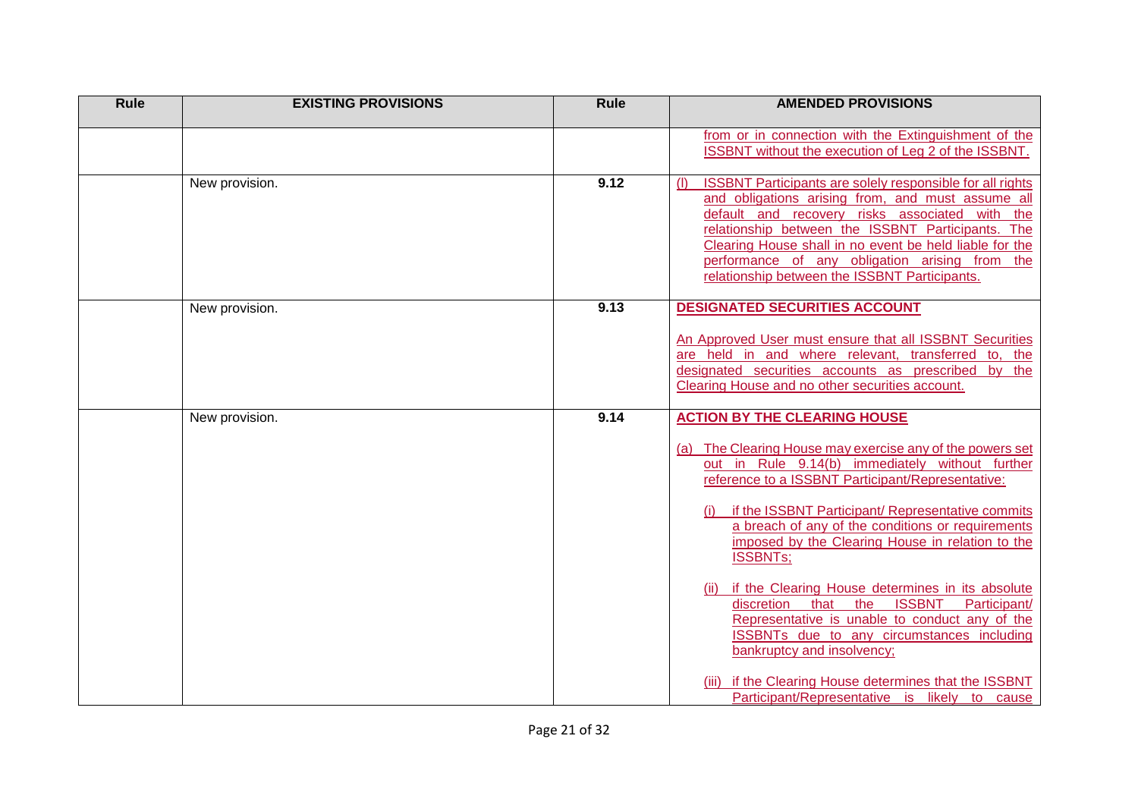| <b>Rule</b> | <b>EXISTING PROVISIONS</b> | <b>Rule</b> | <b>AMENDED PROVISIONS</b>                                                                                                                                                                                                                                                                                                                                                                                                                             |
|-------------|----------------------------|-------------|-------------------------------------------------------------------------------------------------------------------------------------------------------------------------------------------------------------------------------------------------------------------------------------------------------------------------------------------------------------------------------------------------------------------------------------------------------|
|             |                            |             | from or in connection with the Extinguishment of the<br>ISSBNT without the execution of Leg 2 of the ISSBNT.                                                                                                                                                                                                                                                                                                                                          |
|             | New provision.             | 9.12        | <b>ISSBNT Participants are solely responsible for all rights</b><br>(1)<br>and obligations arising from, and must assume all<br>default and recovery risks associated with the<br>relationship between the ISSBNT Participants. The<br>Clearing House shall in no event be held liable for the<br>performance of any obligation arising from the<br>relationship between the ISSBNT Participants.                                                     |
|             | New provision.             | 9.13        | <b>DESIGNATED SECURITIES ACCOUNT</b><br>An Approved User must ensure that all ISSBNT Securities<br>are held in and where relevant, transferred to, the<br>designated securities accounts as prescribed by the<br>Clearing House and no other securities account.                                                                                                                                                                                      |
|             | New provision.             | 9.14        | <b>ACTION BY THE CLEARING HOUSE</b><br>(a) The Clearing House may exercise any of the powers set<br>out in Rule 9.14(b) immediately without further<br>reference to a ISSBNT Participant/Representative:<br>if the ISSBNT Participant/ Representative commits<br>a breach of any of the conditions or requirements<br>imposed by the Clearing House in relation to the<br><b>ISSBNTs;</b><br>if the Clearing House determines in its absolute<br>(ii) |
|             |                            |             | discretion<br>that the<br><b>ISSBNT</b><br>Participant/<br>Representative is unable to conduct any of the<br><b>ISSBNTs</b> due to any circumstances including<br>bankruptcy and insolvency;<br>(iii) if the Clearing House determines that the ISSBNT<br>Participant/Representative is likely to cause                                                                                                                                               |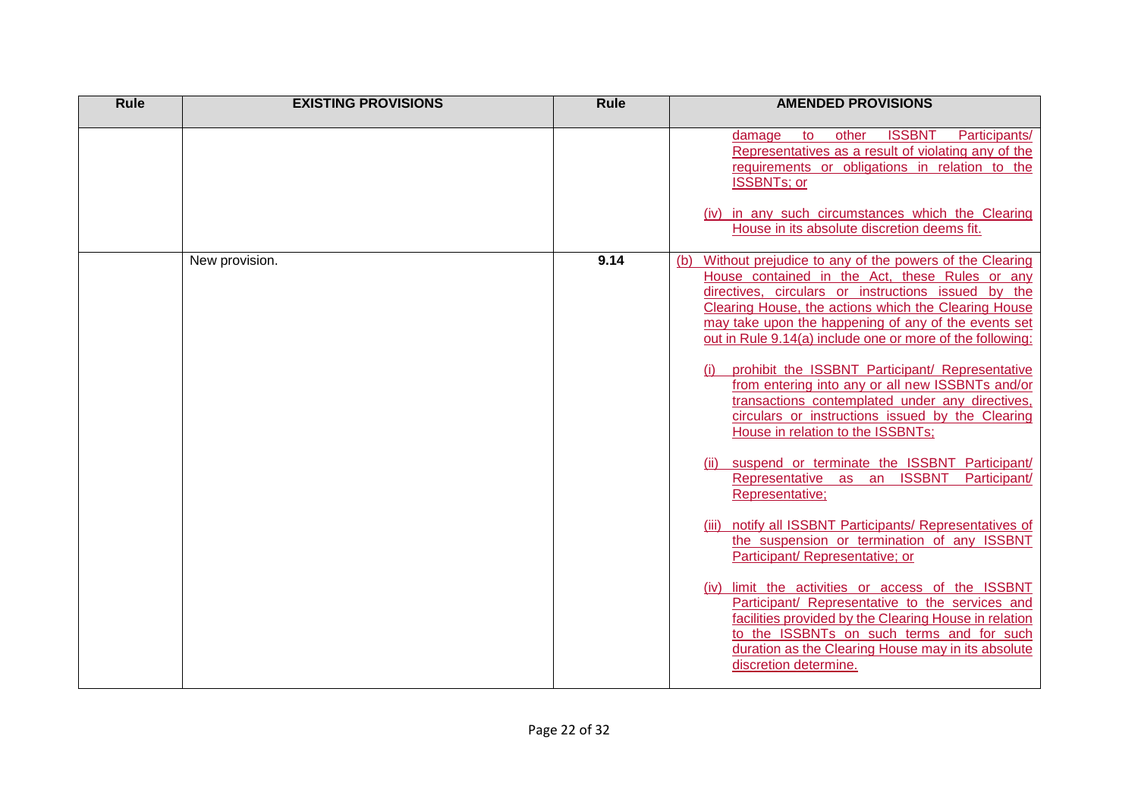| Rule | <b>EXISTING PROVISIONS</b> | Rule | <b>AMENDED PROVISIONS</b>                                                                                                                                                                                                                                                                                                                                                                                                                                                                                                                                                                                                                                                                                                                                                                                                                                                                                                                                                                                                                                                                                                                                        |
|------|----------------------------|------|------------------------------------------------------------------------------------------------------------------------------------------------------------------------------------------------------------------------------------------------------------------------------------------------------------------------------------------------------------------------------------------------------------------------------------------------------------------------------------------------------------------------------------------------------------------------------------------------------------------------------------------------------------------------------------------------------------------------------------------------------------------------------------------------------------------------------------------------------------------------------------------------------------------------------------------------------------------------------------------------------------------------------------------------------------------------------------------------------------------------------------------------------------------|
|      |                            |      | <b>ISSBNT</b><br>Participants/<br>to<br>other<br>damage<br>Representatives as a result of violating any of the<br>requirements or obligations in relation to the<br><b>ISSBNTs; or</b><br>(iv) in any such circumstances which the Clearing<br>House in its absolute discretion deems fit.                                                                                                                                                                                                                                                                                                                                                                                                                                                                                                                                                                                                                                                                                                                                                                                                                                                                       |
|      | New provision.             | 9.14 | Without prejudice to any of the powers of the Clearing<br>(b)<br>House contained in the Act, these Rules or any<br>directives, circulars or instructions issued by the<br>Clearing House, the actions which the Clearing House<br>may take upon the happening of any of the events set<br>out in Rule 9.14(a) include one or more of the following:<br>prohibit the ISSBNT Participant/ Representative<br>from entering into any or all new ISSBNTs and/or<br>transactions contemplated under any directives,<br>circulars or instructions issued by the Clearing<br>House in relation to the ISSBNTs;<br>suspend or terminate the ISSBNT Participant/<br>Representative as an ISSBNT<br>Participant/<br>Representative;<br>notify all ISSBNT Participants/ Representatives of<br>the suspension or termination of any ISSBNT<br>Participant/ Representative; or<br>limit the activities or access of the ISSBNT<br>(iv)<br>Participant/ Representative to the services and<br>facilities provided by the Clearing House in relation<br>to the ISSBNTs on such terms and for such<br>duration as the Clearing House may in its absolute<br>discretion determine. |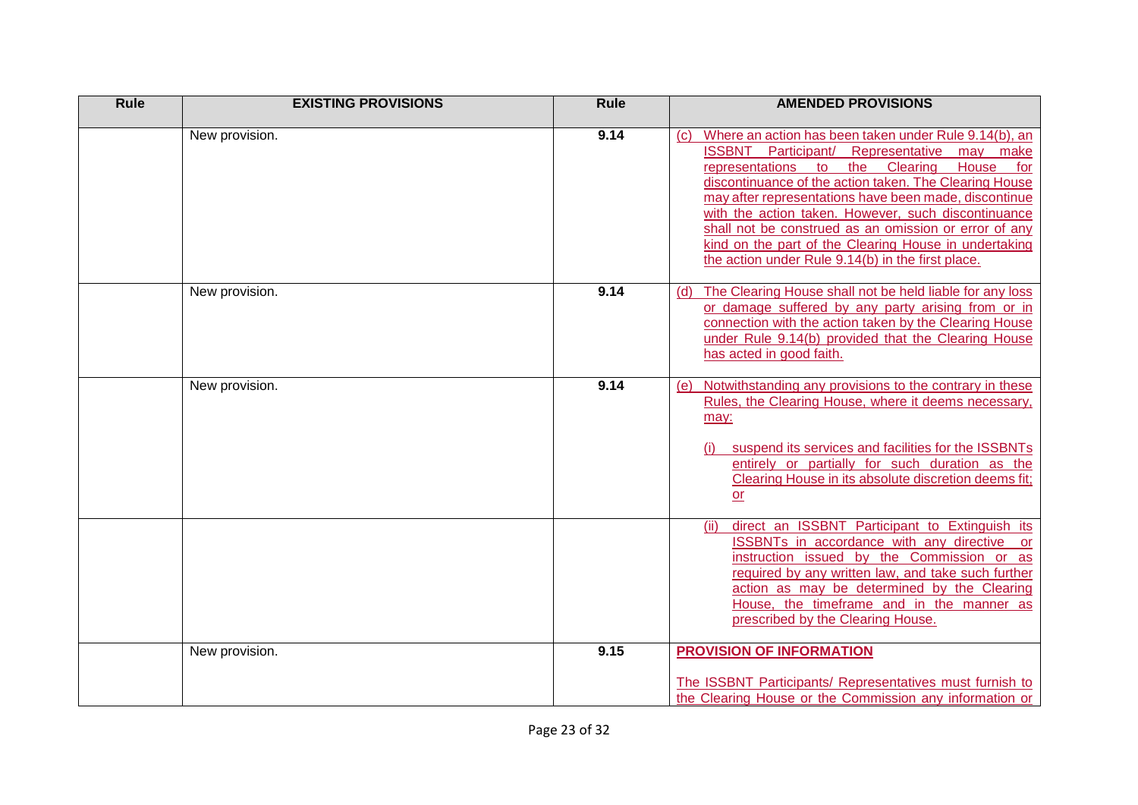| <b>Rule</b> | <b>EXISTING PROVISIONS</b> | <b>Rule</b> | <b>AMENDED PROVISIONS</b>                                                                                                                                                                                                                                                                                                                                                                                                                                                                                                       |
|-------------|----------------------------|-------------|---------------------------------------------------------------------------------------------------------------------------------------------------------------------------------------------------------------------------------------------------------------------------------------------------------------------------------------------------------------------------------------------------------------------------------------------------------------------------------------------------------------------------------|
|             | New provision.             | 9.14        | Where an action has been taken under Rule 9.14(b), an<br>$\mathcal{C}$<br>ISSBNT Participant/ Representative may make<br>representations to<br>the<br>Clearing<br>House<br>for<br>discontinuance of the action taken. The Clearing House<br>may after representations have been made, discontinue<br>with the action taken. However, such discontinuance<br>shall not be construed as an omission or error of any<br>kind on the part of the Clearing House in undertaking<br>the action under Rule 9.14(b) in the first place. |
|             | New provision.             | 9.14        | The Clearing House shall not be held liable for any loss<br>(d)<br>or damage suffered by any party arising from or in<br>connection with the action taken by the Clearing House<br>under Rule 9.14(b) provided that the Clearing House<br>has acted in good faith.                                                                                                                                                                                                                                                              |
|             | New provision.             | 9.14        | Notwithstanding any provisions to the contrary in these<br>(e)<br>Rules, the Clearing House, where it deems necessary,<br>may:<br>suspend its services and facilities for the ISSBNTs<br>entirely or partially for such duration as the<br>Clearing House in its absolute discretion deems fit;<br>or                                                                                                                                                                                                                           |
|             |                            |             | direct an ISSBNT Participant to Extinguish its<br>(ii)<br>ISSBNTs in accordance with any directive or<br>instruction issued by the Commission or as<br>required by any written law, and take such further<br>action as may be determined by the Clearing<br>House, the timeframe and in the manner as<br>prescribed by the Clearing House.                                                                                                                                                                                      |
|             | New provision.             | 9.15        | <b>PROVISION OF INFORMATION</b><br>The ISSBNT Participants/ Representatives must furnish to<br>the Clearing House or the Commission any information or                                                                                                                                                                                                                                                                                                                                                                          |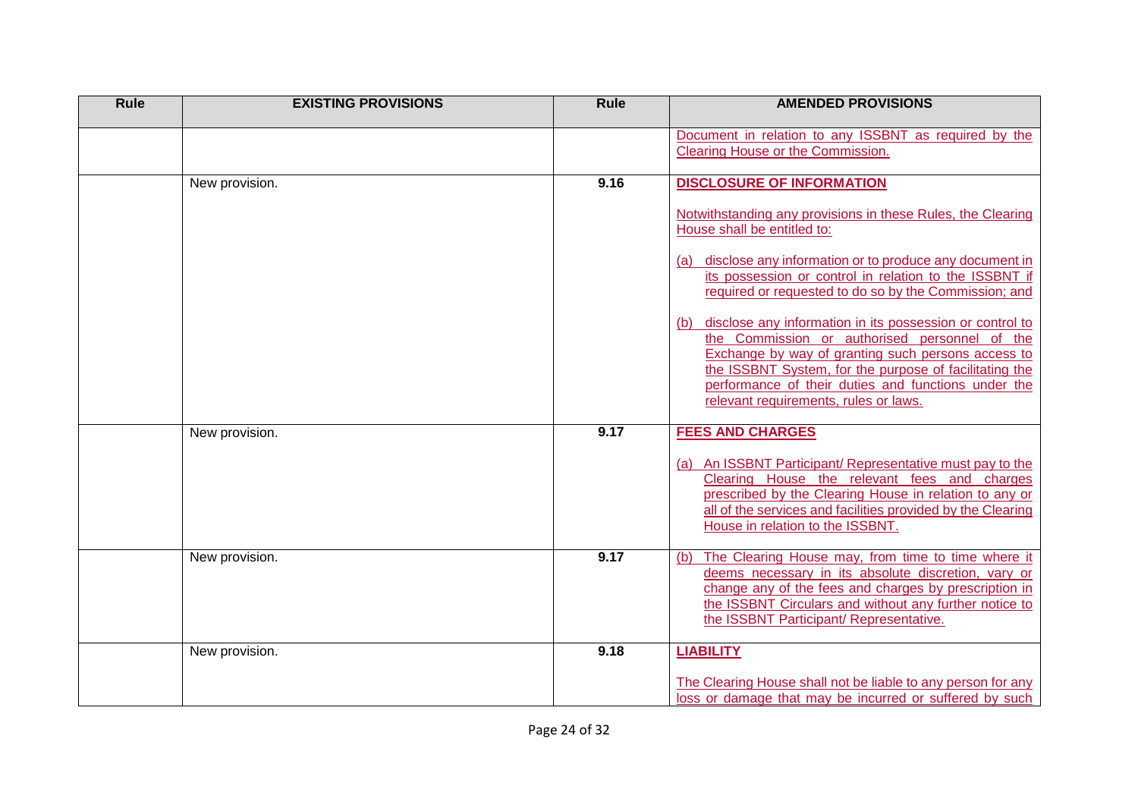| Rule | <b>EXISTING PROVISIONS</b> | <b>Rule</b> | <b>AMENDED PROVISIONS</b>                                                                                                                                                                                                                                                                                                                                                                                                                                                                                                                                                                                                                           |
|------|----------------------------|-------------|-----------------------------------------------------------------------------------------------------------------------------------------------------------------------------------------------------------------------------------------------------------------------------------------------------------------------------------------------------------------------------------------------------------------------------------------------------------------------------------------------------------------------------------------------------------------------------------------------------------------------------------------------------|
|      |                            |             | Document in relation to any ISSBNT as required by the<br>Clearing House or the Commission.                                                                                                                                                                                                                                                                                                                                                                                                                                                                                                                                                          |
|      | New provision.             | 9.16        | <b>DISCLOSURE OF INFORMATION</b><br>Notwithstanding any provisions in these Rules, the Clearing<br>House shall be entitled to:<br>(a) disclose any information or to produce any document in<br>its possession or control in relation to the ISSBNT if<br>required or requested to do so by the Commission; and<br>disclose any information in its possession or control to<br>(b)<br>the Commission or authorised personnel of the<br>Exchange by way of granting such persons access to<br>the ISSBNT System, for the purpose of facilitating the<br>performance of their duties and functions under the<br>relevant requirements, rules or laws. |
|      | New provision.             | 9.17        | <b>FEES AND CHARGES</b><br>(a) An ISSBNT Participant/ Representative must pay to the<br>Clearing House the relevant fees and charges<br>prescribed by the Clearing House in relation to any or<br>all of the services and facilities provided by the Clearing<br>House in relation to the ISSBNT.                                                                                                                                                                                                                                                                                                                                                   |
|      | New provision.             | 9.17        | The Clearing House may, from time to time where it<br>(b)<br>deems necessary in its absolute discretion, vary or<br>change any of the fees and charges by prescription in<br>the ISSBNT Circulars and without any further notice to<br>the ISSBNT Participant/ Representative.                                                                                                                                                                                                                                                                                                                                                                      |
|      | New provision.             | 9.18        | <b>LIABILITY</b><br>The Clearing House shall not be liable to any person for any<br>loss or damage that may be incurred or suffered by such                                                                                                                                                                                                                                                                                                                                                                                                                                                                                                         |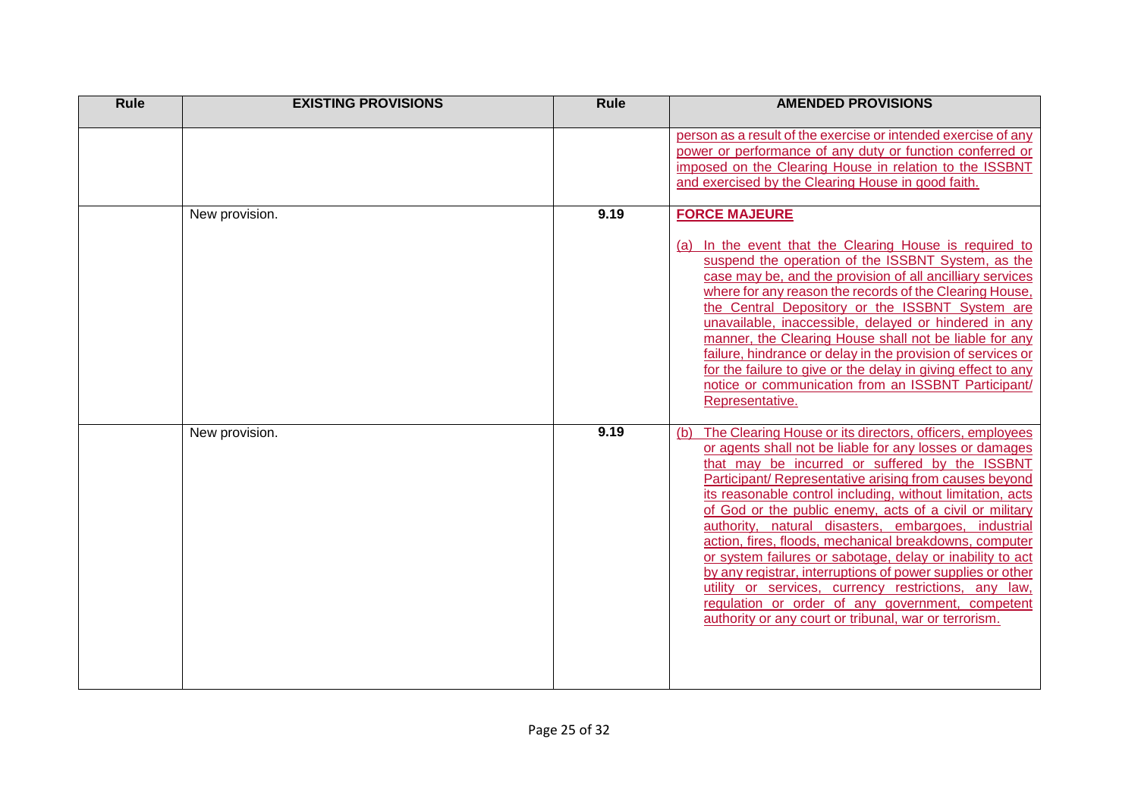| <b>Rule</b> | <b>EXISTING PROVISIONS</b> | <b>Rule</b> | <b>AMENDED PROVISIONS</b>                                                                                                                                                                                                                                                                                                                                                                                                                                                                                                                                                                                                                                                                                                                                                        |
|-------------|----------------------------|-------------|----------------------------------------------------------------------------------------------------------------------------------------------------------------------------------------------------------------------------------------------------------------------------------------------------------------------------------------------------------------------------------------------------------------------------------------------------------------------------------------------------------------------------------------------------------------------------------------------------------------------------------------------------------------------------------------------------------------------------------------------------------------------------------|
|             |                            |             | person as a result of the exercise or intended exercise of any<br>power or performance of any duty or function conferred or<br>imposed on the Clearing House in relation to the ISSBNT<br>and exercised by the Clearing House in good faith.                                                                                                                                                                                                                                                                                                                                                                                                                                                                                                                                     |
|             | New provision.             | 9.19        | <b>FORCE MAJEURE</b><br>(a) In the event that the Clearing House is required to<br>suspend the operation of the ISSBNT System, as the<br>case may be, and the provision of all ancilliary services<br>where for any reason the records of the Clearing House,<br>the Central Depository or the ISSBNT System are<br>unavailable, inaccessible, delayed or hindered in any<br>manner, the Clearing House shall not be liable for any<br>failure, hindrance or delay in the provision of services or<br>for the failure to give or the delay in giving effect to any<br>notice or communication from an ISSBNT Participant/<br>Representative.                                                                                                                                     |
|             | New provision.             | 9.19        | The Clearing House or its directors, officers, employees<br>(b)<br>or agents shall not be liable for any losses or damages<br>that may be incurred or suffered by the ISSBNT<br>Participant/ Representative arising from causes beyond<br>its reasonable control including, without limitation, acts<br>of God or the public enemy, acts of a civil or military<br>authority, natural disasters, embargoes, industrial<br>action, fires, floods, mechanical breakdowns, computer<br>or system failures or sabotage, delay or inability to act<br>by any registrar, interruptions of power supplies or other<br>utility or services, currency restrictions, any law,<br>regulation or order of any government, competent<br>authority or any court or tribunal, war or terrorism. |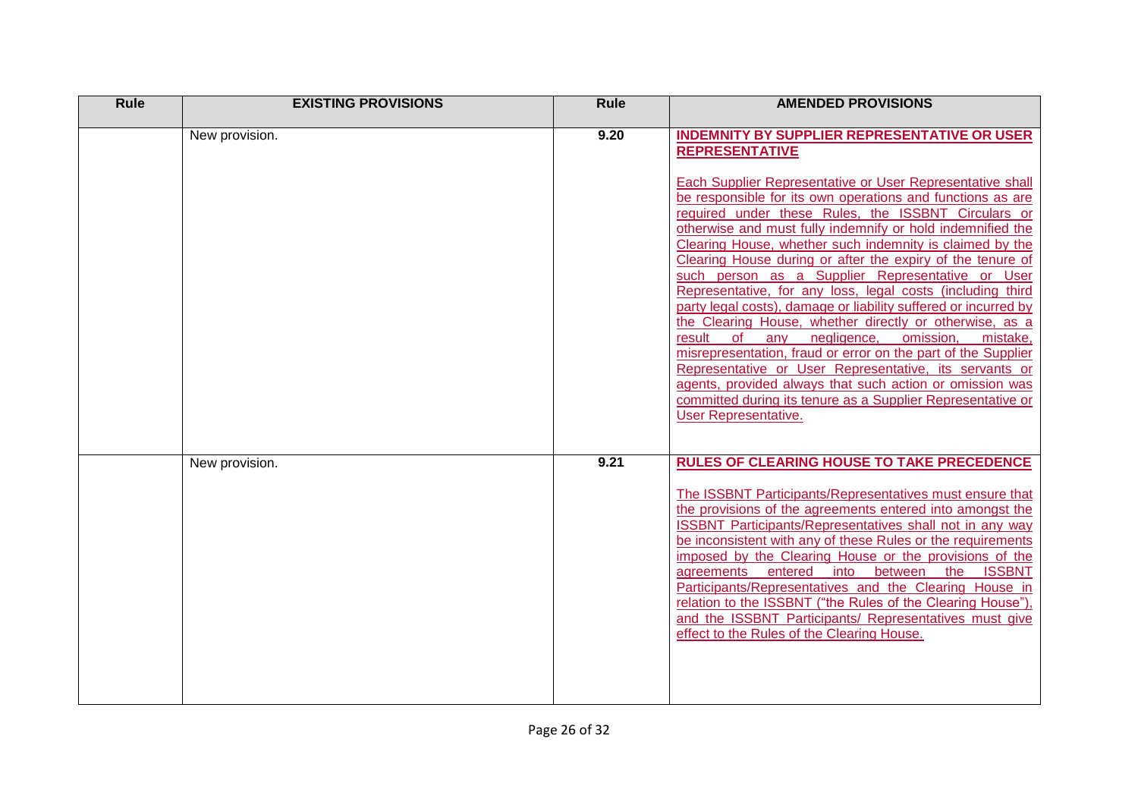| Rule | <b>EXISTING PROVISIONS</b> | Rule | <b>AMENDED PROVISIONS</b>                                                                                                                                                                                                                                                                                                                                                                                                                                                                                                                                                                                                                                                                                                                                                                                                                                                                                                                                                                                                                                  |
|------|----------------------------|------|------------------------------------------------------------------------------------------------------------------------------------------------------------------------------------------------------------------------------------------------------------------------------------------------------------------------------------------------------------------------------------------------------------------------------------------------------------------------------------------------------------------------------------------------------------------------------------------------------------------------------------------------------------------------------------------------------------------------------------------------------------------------------------------------------------------------------------------------------------------------------------------------------------------------------------------------------------------------------------------------------------------------------------------------------------|
|      | New provision.             | 9.20 | <b>INDEMNITY BY SUPPLIER REPRESENTATIVE OR USER</b><br><b>REPRESENTATIVE</b><br>Each Supplier Representative or User Representative shall<br>be responsible for its own operations and functions as are<br>required under these Rules, the ISSBNT Circulars or<br>otherwise and must fully indemnify or hold indemnified the<br>Clearing House, whether such indemnity is claimed by the<br>Clearing House during or after the expiry of the tenure of<br>such person as a Supplier Representative or User<br>Representative, for any loss, legal costs (including third<br>party legal costs), damage or liability suffered or incurred by<br>the Clearing House, whether directly or otherwise, as a<br>result<br><b>of</b><br>negligence,<br>omission,<br>mistake,<br>any<br>misrepresentation, fraud or error on the part of the Supplier<br>Representative or User Representative, its servants or<br>agents, provided always that such action or omission was<br>committed during its tenure as a Supplier Representative or<br>User Representative. |
|      | New provision.             | 9.21 | <b>RULES OF CLEARING HOUSE TO TAKE PRECEDENCE</b><br>The ISSBNT Participants/Representatives must ensure that<br>the provisions of the agreements entered into amongst the<br>ISSBNT Participants/Representatives shall not in any way<br>be inconsistent with any of these Rules or the requirements<br>imposed by the Clearing House or the provisions of the<br>agreements entered<br>into<br>between<br>the<br><b>ISSBNT</b><br>Participants/Representatives and the Clearing House in<br>relation to the ISSBNT ("the Rules of the Clearing House").<br>and the ISSBNT Participants/ Representatives must give<br>effect to the Rules of the Clearing House.                                                                                                                                                                                                                                                                                                                                                                                          |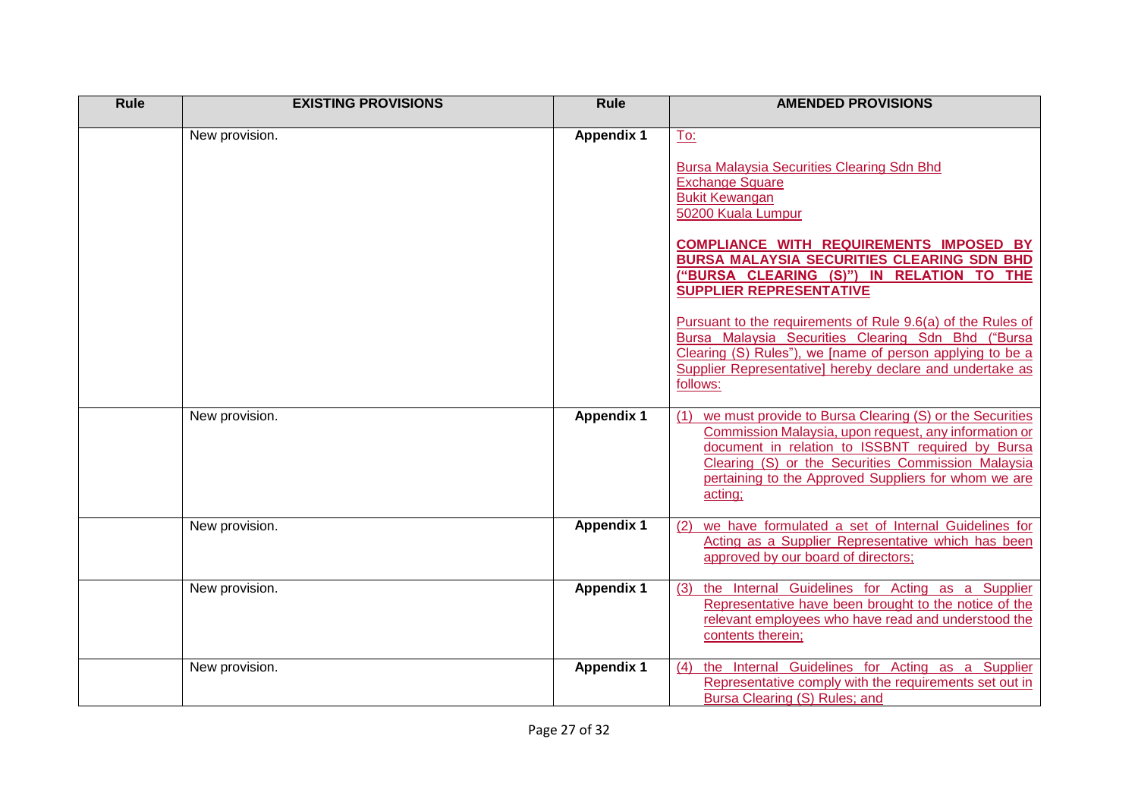| <b>Rule</b> | <b>EXISTING PROVISIONS</b> | <b>Rule</b>       | <b>AMENDED PROVISIONS</b>                                                                                                                                                                                                                                                                            |
|-------------|----------------------------|-------------------|------------------------------------------------------------------------------------------------------------------------------------------------------------------------------------------------------------------------------------------------------------------------------------------------------|
|             | New provision.             | <b>Appendix 1</b> | To:                                                                                                                                                                                                                                                                                                  |
|             |                            |                   | <b>Bursa Malaysia Securities Clearing Sdn Bhd</b><br><b>Exchange Square</b><br><b>Bukit Kewangan</b><br>50200 Kuala Lumpur                                                                                                                                                                           |
|             |                            |                   | <b>COMPLIANCE WITH REQUIREMENTS IMPOSED BY</b><br><b>BURSA MALAYSIA SECURITIES CLEARING SDN BHD</b><br>("BURSA CLEARING (S)") IN RELATION TO THE<br><b>SUPPLIER REPRESENTATIVE</b>                                                                                                                   |
|             |                            |                   | Pursuant to the requirements of Rule 9.6(a) of the Rules of<br>Bursa Malaysia Securities Clearing Sdn Bhd ("Bursa<br>Clearing (S) Rules"), we [name of person applying to be a<br>Supplier Representative] hereby declare and undertake as<br>follows:                                               |
|             | New provision.             | <b>Appendix 1</b> | we must provide to Bursa Clearing (S) or the Securities<br>(1)<br>Commission Malaysia, upon request, any information or<br>document in relation to ISSBNT required by Bursa<br>Clearing (S) or the Securities Commission Malaysia<br>pertaining to the Approved Suppliers for whom we are<br>acting; |
|             | New provision.             | Appendix 1        | we have formulated a set of Internal Guidelines for<br>Acting as a Supplier Representative which has been<br>approved by our board of directors;                                                                                                                                                     |
|             | New provision.             | <b>Appendix 1</b> | the Internal Guidelines for Acting as a Supplier<br>(3)<br>Representative have been brought to the notice of the<br>relevant employees who have read and understood the<br>contents therein;                                                                                                         |
|             | New provision.             | <b>Appendix 1</b> | the Internal Guidelines for Acting as a Supplier<br>(4)<br>Representative comply with the requirements set out in<br>Bursa Clearing (S) Rules; and                                                                                                                                                   |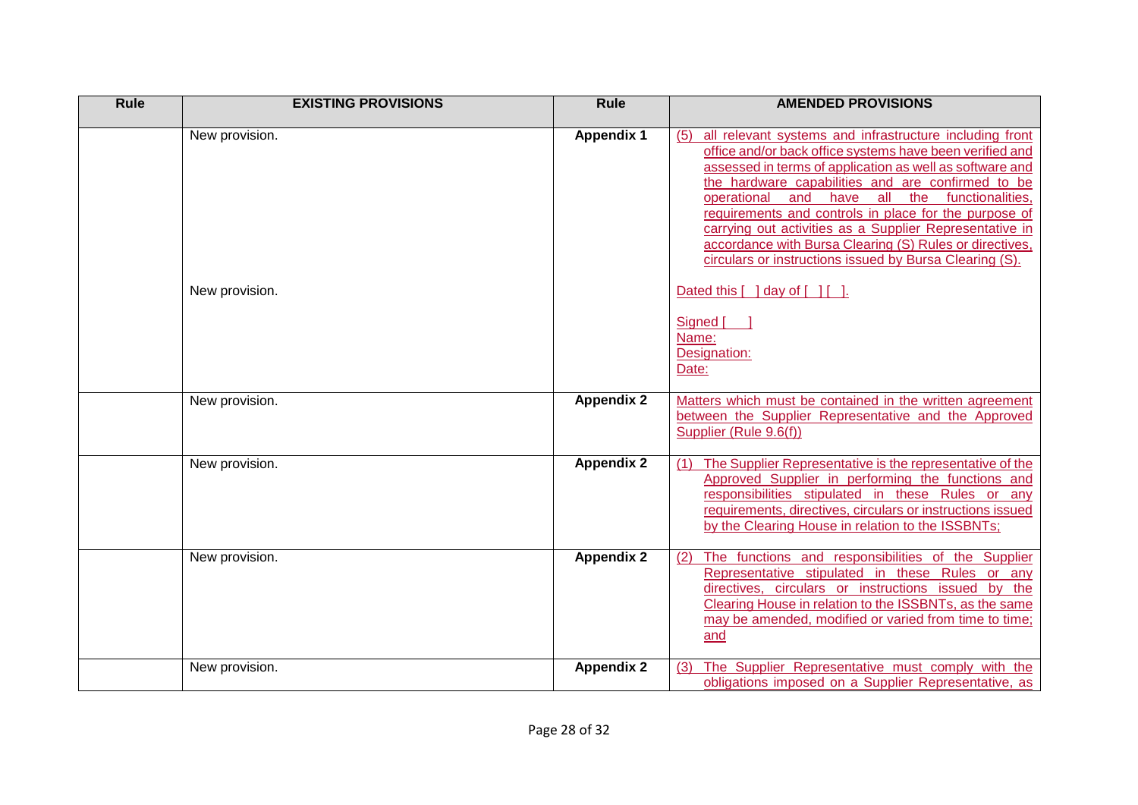| <b>Rule</b> | <b>EXISTING PROVISIONS</b>       | <b>Rule</b>       | <b>AMENDED PROVISIONS</b>                                                                                                                                                                                                                                                                                                                                                                                                                                                                                                                                                                                                       |
|-------------|----------------------------------|-------------------|---------------------------------------------------------------------------------------------------------------------------------------------------------------------------------------------------------------------------------------------------------------------------------------------------------------------------------------------------------------------------------------------------------------------------------------------------------------------------------------------------------------------------------------------------------------------------------------------------------------------------------|
|             | New provision.<br>New provision. | <b>Appendix 1</b> | all relevant systems and infrastructure including front<br>(5)<br>office and/or back office systems have been verified and<br>assessed in terms of application as well as software and<br>the hardware capabilities and are confirmed to be<br>operational and have all the functionalities,<br>requirements and controls in place for the purpose of<br>carrying out activities as a Supplier Representative in<br>accordance with Bursa Clearing (S) Rules or directives,<br>circulars or instructions issued by Bursa Clearing (S).<br>Dated this $\lceil \cdot \rceil$ day of $\lceil \cdot \rceil$ $\lceil \cdot \rceil$ . |
|             |                                  |                   | Signed [<br>Name:<br>Designation:<br>Date:                                                                                                                                                                                                                                                                                                                                                                                                                                                                                                                                                                                      |
|             | New provision.                   | <b>Appendix 2</b> | Matters which must be contained in the written agreement<br>between the Supplier Representative and the Approved<br>Supplier (Rule 9.6(f))                                                                                                                                                                                                                                                                                                                                                                                                                                                                                      |
|             | New provision.                   | <b>Appendix 2</b> | The Supplier Representative is the representative of the<br>(1)<br>Approved Supplier in performing the functions and<br>responsibilities stipulated in these Rules or any<br>requirements, directives, circulars or instructions issued<br>by the Clearing House in relation to the ISSBNTs;                                                                                                                                                                                                                                                                                                                                    |
|             | New provision.                   | <b>Appendix 2</b> | The functions and responsibilities of the Supplier<br>(2)<br>Representative stipulated in these Rules or any<br>directives, circulars or instructions issued by the<br>Clearing House in relation to the ISSBNTs, as the same<br>may be amended, modified or varied from time to time;<br>and                                                                                                                                                                                                                                                                                                                                   |
|             | New provision.                   | <b>Appendix 2</b> | The Supplier Representative must comply with the<br>(3)<br>obligations imposed on a Supplier Representative, as                                                                                                                                                                                                                                                                                                                                                                                                                                                                                                                 |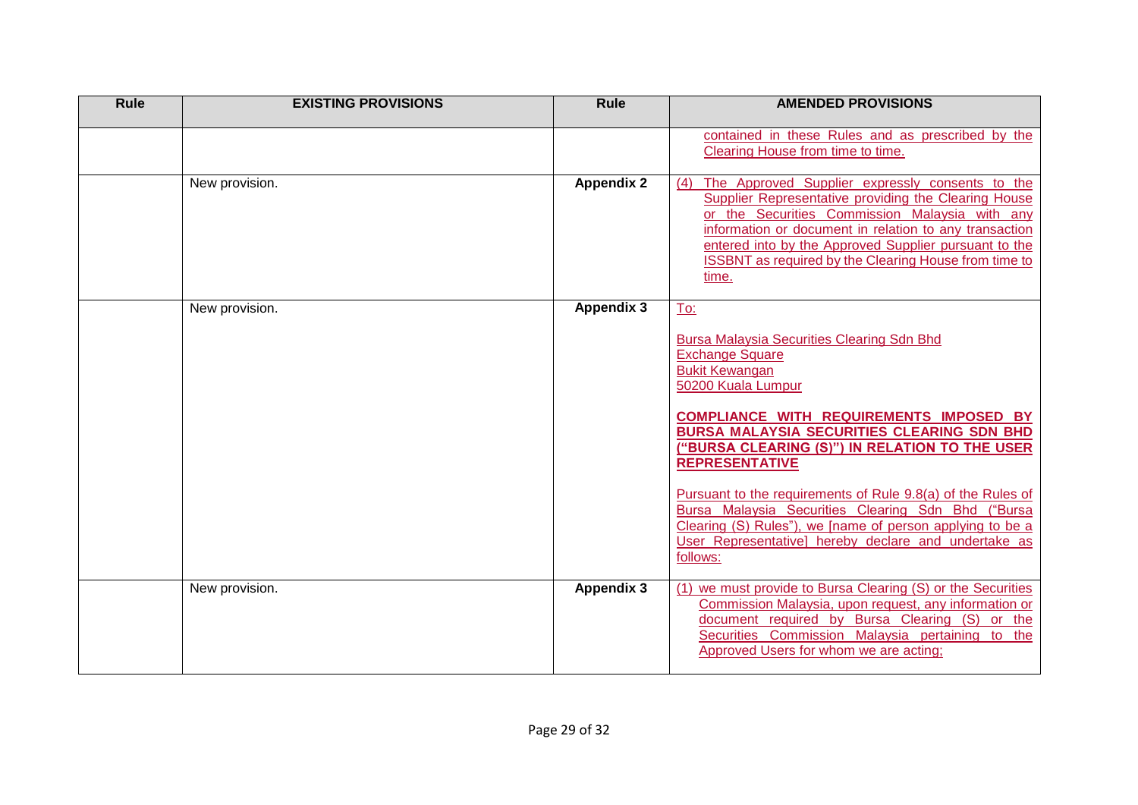| Rule | <b>EXISTING PROVISIONS</b> | Rule              | <b>AMENDED PROVISIONS</b>                                                                                                                                                                                                                                                                                                                                                                                                                                                                                                                                                 |
|------|----------------------------|-------------------|---------------------------------------------------------------------------------------------------------------------------------------------------------------------------------------------------------------------------------------------------------------------------------------------------------------------------------------------------------------------------------------------------------------------------------------------------------------------------------------------------------------------------------------------------------------------------|
|      |                            |                   | contained in these Rules and as prescribed by the<br>Clearing House from time to time.                                                                                                                                                                                                                                                                                                                                                                                                                                                                                    |
|      | New provision.             | <b>Appendix 2</b> | The Approved Supplier expressly consents to the<br>(4)<br>Supplier Representative providing the Clearing House<br>or the Securities Commission Malaysia with any<br>information or document in relation to any transaction<br>entered into by the Approved Supplier pursuant to the<br>ISSBNT as required by the Clearing House from time to<br>time.                                                                                                                                                                                                                     |
|      | New provision.             | <b>Appendix 3</b> | To:<br><b>Bursa Malaysia Securities Clearing Sdn Bhd</b><br><b>Exchange Square</b><br><b>Bukit Kewangan</b><br>50200 Kuala Lumpur<br><b>COMPLIANCE WITH REQUIREMENTS IMPOSED BY</b><br><b>BURSA MALAYSIA SECURITIES CLEARING SDN BHD</b><br>("BURSA CLEARING (S)") IN RELATION TO THE USER<br><b>REPRESENTATIVE</b><br>Pursuant to the requirements of Rule 9.8(a) of the Rules of<br>Bursa Malaysia Securities Clearing Sdn Bhd ("Bursa<br>Clearing (S) Rules"), we [name of person applying to be a<br>User Representative] hereby declare and undertake as<br>follows: |
|      | New provision.             | <b>Appendix 3</b> | (1) we must provide to Bursa Clearing (S) or the Securities<br>Commission Malaysia, upon request, any information or<br>document required by Bursa Clearing (S) or the<br>Securities Commission Malaysia pertaining to the<br>Approved Users for whom we are acting;                                                                                                                                                                                                                                                                                                      |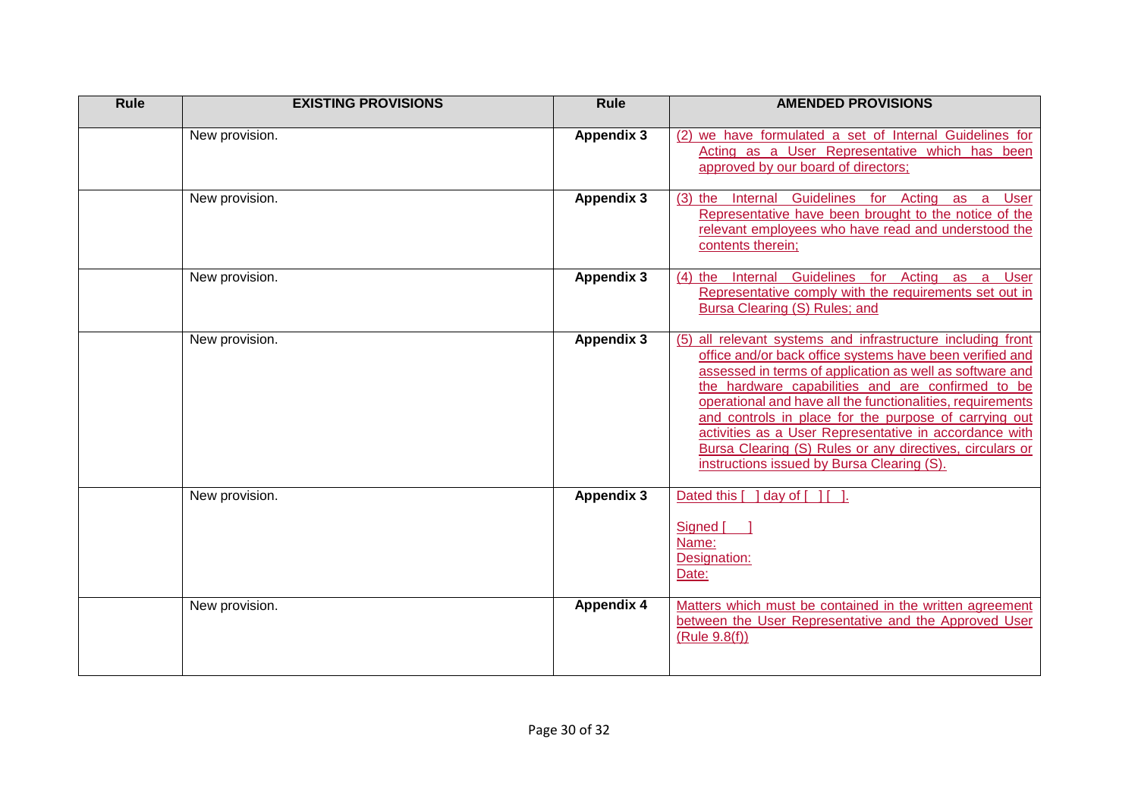| Rule | <b>EXISTING PROVISIONS</b> | <b>Rule</b>       | <b>AMENDED PROVISIONS</b>                                                                                                                                                                                                                                                                                                                                                                                                                                                                                                           |
|------|----------------------------|-------------------|-------------------------------------------------------------------------------------------------------------------------------------------------------------------------------------------------------------------------------------------------------------------------------------------------------------------------------------------------------------------------------------------------------------------------------------------------------------------------------------------------------------------------------------|
|      | New provision.             | Appendix 3        | (2) we have formulated a set of Internal Guidelines for<br>Acting as a User Representative which has been<br>approved by our board of directors;                                                                                                                                                                                                                                                                                                                                                                                    |
|      | New provision.             | <b>Appendix 3</b> | (3) the Internal Guidelines for Acting as a User<br>Representative have been brought to the notice of the<br>relevant employees who have read and understood the<br>contents therein;                                                                                                                                                                                                                                                                                                                                               |
|      | New provision.             | <b>Appendix 3</b> | (4) the Internal Guidelines for Acting as a User<br>Representative comply with the requirements set out in<br>Bursa Clearing (S) Rules; and                                                                                                                                                                                                                                                                                                                                                                                         |
|      | New provision.             | <b>Appendix 3</b> | (5) all relevant systems and infrastructure including front<br>office and/or back office systems have been verified and<br>assessed in terms of application as well as software and<br>the hardware capabilities and are confirmed to be<br>operational and have all the functionalities, requirements<br>and controls in place for the purpose of carrying out<br>activities as a User Representative in accordance with<br>Bursa Clearing (S) Rules or any directives, circulars or<br>instructions issued by Bursa Clearing (S). |
|      | New provision.             | <b>Appendix 3</b> | Dated this [ ] day of [ ] [ ].<br>Signed [<br>Name:<br>Designation:<br>Date:                                                                                                                                                                                                                                                                                                                                                                                                                                                        |
|      | New provision.             | <b>Appendix 4</b> | Matters which must be contained in the written agreement<br>between the User Representative and the Approved User<br>(Rule 9.8(f))                                                                                                                                                                                                                                                                                                                                                                                                  |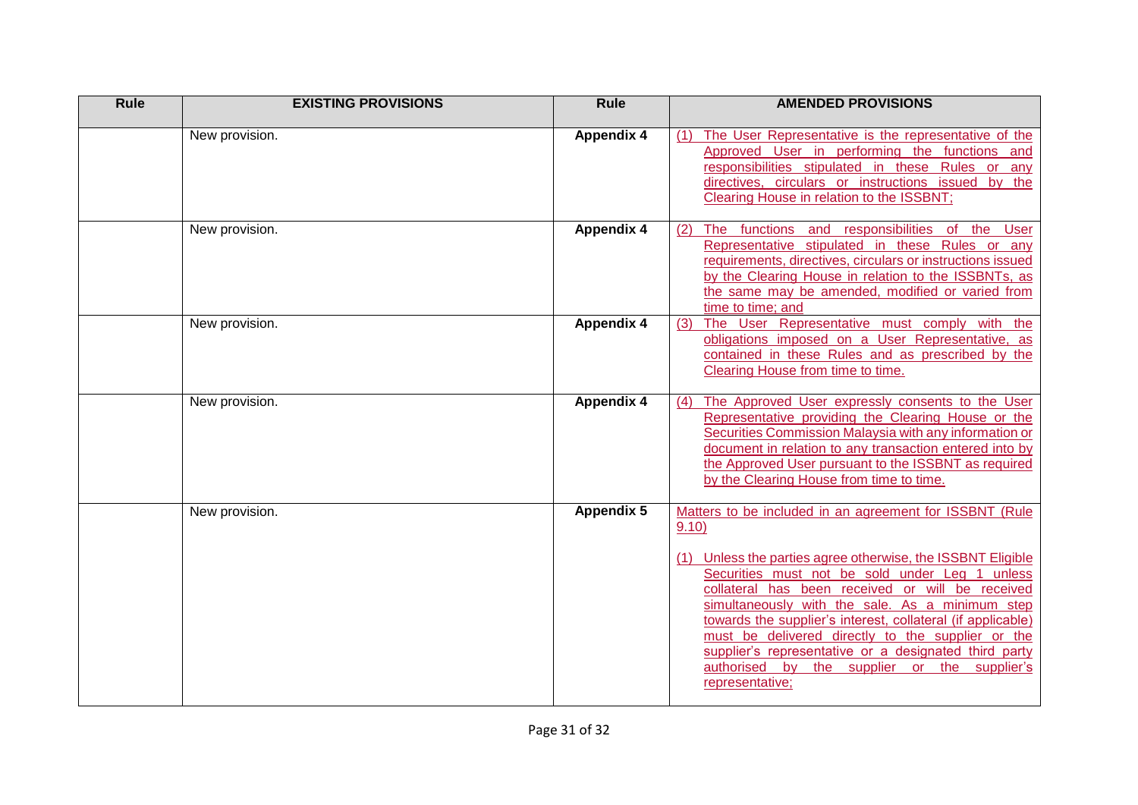| <b>Rule</b> | <b>EXISTING PROVISIONS</b> | <b>Rule</b>       | <b>AMENDED PROVISIONS</b>                                                                                                                                                                                                                                                                                                                                                                                                                                                                                                                |
|-------------|----------------------------|-------------------|------------------------------------------------------------------------------------------------------------------------------------------------------------------------------------------------------------------------------------------------------------------------------------------------------------------------------------------------------------------------------------------------------------------------------------------------------------------------------------------------------------------------------------------|
|             | New provision.             | <b>Appendix 4</b> | The User Representative is the representative of the<br>(1)<br>Approved User in performing the functions and<br>responsibilities stipulated in these Rules or any<br>directives, circulars or instructions issued by the<br>Clearing House in relation to the ISSBNT;                                                                                                                                                                                                                                                                    |
|             | New provision.             | <b>Appendix 4</b> | The functions and responsibilities of the<br><b>User</b><br>(2)<br>Representative stipulated in these Rules or any<br>requirements, directives, circulars or instructions issued<br>by the Clearing House in relation to the ISSBNTs, as<br>the same may be amended, modified or varied from<br>time to time; and                                                                                                                                                                                                                        |
|             | New provision.             | <b>Appendix 4</b> | The User Representative must comply with<br>the<br>(3)<br>obligations imposed on a User Representative, as<br>contained in these Rules and as prescribed by the<br>Clearing House from time to time.                                                                                                                                                                                                                                                                                                                                     |
|             | New provision.             | <b>Appendix 4</b> | The Approved User expressly consents to the User<br>(4)<br>Representative providing the Clearing House or the<br>Securities Commission Malaysia with any information or<br>document in relation to any transaction entered into by<br>the Approved User pursuant to the ISSBNT as required<br>by the Clearing House from time to time.                                                                                                                                                                                                   |
|             | New provision.             | <b>Appendix 5</b> | Matters to be included in an agreement for ISSBNT (Rule<br>9.10)<br>(1) Unless the parties agree otherwise, the ISSBNT Eligible<br>Securities must not be sold under Leg 1 unless<br>collateral has been received or will be received<br>simultaneously with the sale. As a minimum step<br>towards the supplier's interest, collateral (if applicable)<br>must be delivered directly to the supplier or the<br>supplier's representative or a designated third party<br>authorised by the supplier or the supplier's<br>representative; |